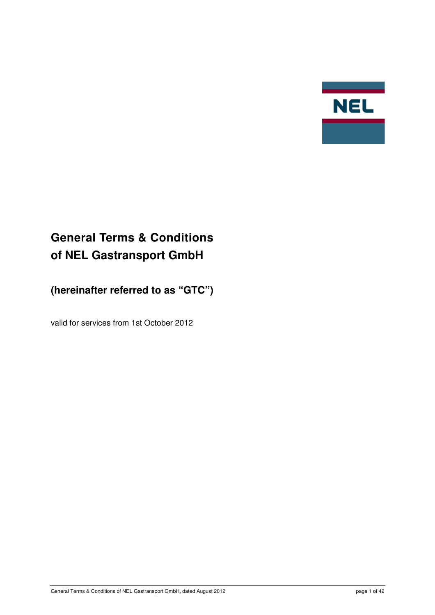

# **General Terms & Conditions of NEL Gastransport GmbH**

**(hereinafter referred to as "GTC")** 

valid for services from 1st October 2012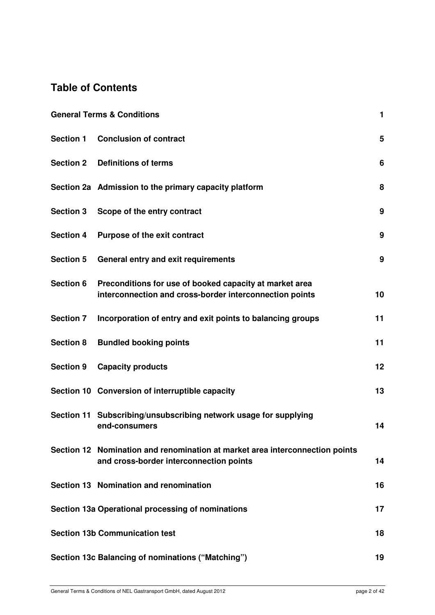## **Table of Contents**

| <b>General Terms &amp; Conditions</b> |                                                                                                                         | 1  |
|---------------------------------------|-------------------------------------------------------------------------------------------------------------------------|----|
| <b>Section 1</b>                      | <b>Conclusion of contract</b>                                                                                           | 5  |
| <b>Section 2</b>                      | <b>Definitions of terms</b>                                                                                             | 6  |
|                                       | Section 2a Admission to the primary capacity platform                                                                   | 8  |
| <b>Section 3</b>                      | Scope of the entry contract                                                                                             | 9  |
| <b>Section 4</b>                      | <b>Purpose of the exit contract</b>                                                                                     | 9  |
| <b>Section 5</b>                      | General entry and exit requirements                                                                                     | 9  |
| Section 6                             | Preconditions for use of booked capacity at market area<br>interconnection and cross-border interconnection points      | 10 |
| <b>Section 7</b>                      | Incorporation of entry and exit points to balancing groups                                                              | 11 |
| <b>Section 8</b>                      | <b>Bundled booking points</b>                                                                                           | 11 |
| <b>Section 9</b>                      | <b>Capacity products</b>                                                                                                | 12 |
|                                       | Section 10 Conversion of interruptible capacity                                                                         | 13 |
|                                       | Section 11 Subscribing/unsubscribing network usage for supplying<br>end-consumers                                       | 14 |
|                                       | Section 12 Nomination and renomination at market area interconnection points<br>and cross-border interconnection points | 14 |
|                                       | Section 13 Nomination and renomination                                                                                  | 16 |
|                                       | Section 13a Operational processing of nominations                                                                       | 17 |
|                                       | <b>Section 13b Communication test</b>                                                                                   | 18 |
|                                       | Section 13c Balancing of nominations ("Matching")                                                                       | 19 |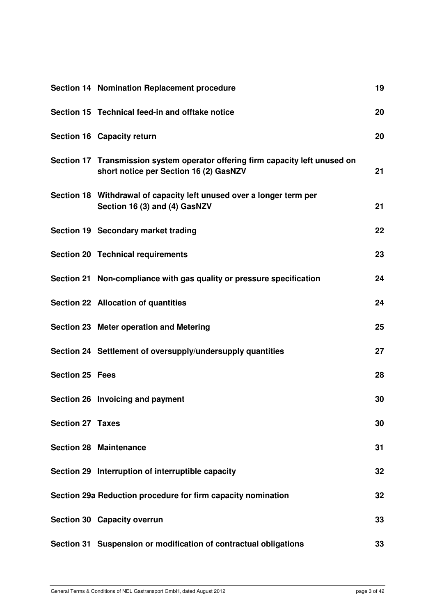|                         | Section 14 Nomination Replacement procedure                                                                             | 19 |
|-------------------------|-------------------------------------------------------------------------------------------------------------------------|----|
|                         | Section 15 Technical feed-in and offtake notice                                                                         | 20 |
|                         | Section 16 Capacity return                                                                                              | 20 |
|                         | Section 17 Transmission system operator offering firm capacity left unused on<br>short notice per Section 16 (2) GasNZV | 21 |
|                         | Section 18 Withdrawal of capacity left unused over a longer term per<br>Section 16 (3) and (4) GasNZV                   | 21 |
|                         | Section 19 Secondary market trading                                                                                     | 22 |
|                         | <b>Section 20 Technical requirements</b>                                                                                | 23 |
|                         | Section 21 Non-compliance with gas quality or pressure specification                                                    | 24 |
|                         | Section 22 Allocation of quantities                                                                                     | 24 |
|                         | Section 23 Meter operation and Metering                                                                                 | 25 |
|                         | Section 24 Settlement of oversupply/undersupply quantities                                                              | 27 |
| <b>Section 25 Fees</b>  |                                                                                                                         | 28 |
|                         | Section 26 Invoicing and payment                                                                                        | 30 |
| <b>Section 27 Taxes</b> |                                                                                                                         | 30 |
|                         | <b>Section 28 Maintenance</b>                                                                                           | 31 |
|                         | Section 29 Interruption of interruptible capacity                                                                       | 32 |
|                         | Section 29a Reduction procedure for firm capacity nomination                                                            | 32 |
|                         | Section 30 Capacity overrun                                                                                             | 33 |
|                         | Section 31 Suspension or modification of contractual obligations                                                        | 33 |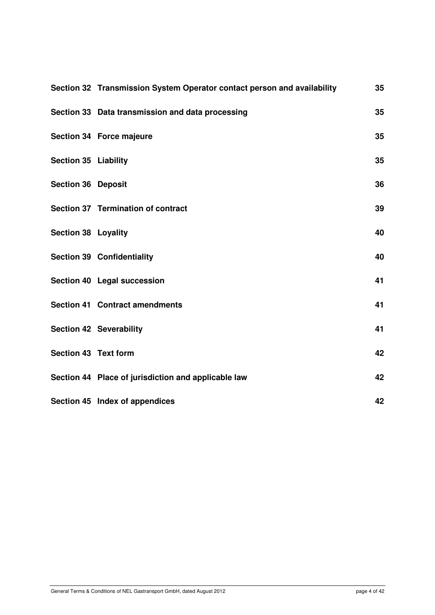|                             | Section 32 Transmission System Operator contact person and availability | 35 |
|-----------------------------|-------------------------------------------------------------------------|----|
|                             | Section 33 Data transmission and data processing                        | 35 |
|                             | Section 34 Force majeure                                                | 35 |
| <b>Section 35 Liability</b> |                                                                         | 35 |
| <b>Section 36 Deposit</b>   |                                                                         | 36 |
|                             | Section 37 Termination of contract                                      | 39 |
| <b>Section 38 Loyality</b>  |                                                                         | 40 |
|                             | <b>Section 39 Confidentiality</b>                                       | 40 |
|                             | Section 40 Legal succession                                             | 41 |
|                             | <b>Section 41 Contract amendments</b>                                   | 41 |
|                             | <b>Section 42 Severability</b>                                          | 41 |
| Section 43 Text form        |                                                                         | 42 |
|                             | Section 44 Place of jurisdiction and applicable law                     | 42 |
|                             | Section 45 Index of appendices                                          | 42 |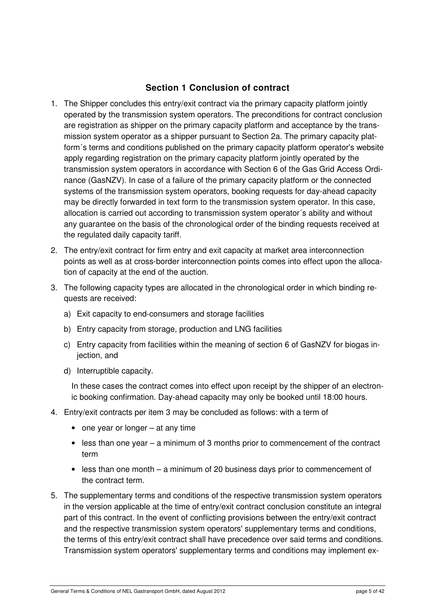#### **Section 1 Conclusion of contract**

- 1. The Shipper concludes this entry/exit contract via the primary capacity platform jointly operated by the transmission system operators. The preconditions for contract conclusion are registration as shipper on the primary capacity platform and acceptance by the transmission system operator as a shipper pursuant to Section 2a. The primary capacity platform´s terms and conditions published on the primary capacity platform operator's website apply regarding registration on the primary capacity platform jointly operated by the transmission system operators in accordance with Section 6 of the Gas Grid Access Ordinance (GasNZV). In case of a failure of the primary capacity platform or the connected systems of the transmission system operators, booking requests for day-ahead capacity may be directly forwarded in text form to the transmission system operator. In this case, allocation is carried out according to transmission system operator´s ability and without any guarantee on the basis of the chronological order of the binding requests received at the regulated daily capacity tariff.
- 2. The entry/exit contract for firm entry and exit capacity at market area interconnection points as well as at cross-border interconnection points comes into effect upon the allocation of capacity at the end of the auction.
- 3. The following capacity types are allocated in the chronological order in which binding requests are received:
	- a) Exit capacity to end-consumers and storage facilities
	- b) Entry capacity from storage, production and LNG facilities
	- c) Entry capacity from facilities within the meaning of section 6 of GasNZV for biogas injection, and
	- d) Interruptible capacity.

In these cases the contract comes into effect upon receipt by the shipper of an electronic booking confirmation. Day-ahead capacity may only be booked until 18:00 hours.

- 4. Entry/exit contracts per item 3 may be concluded as follows: with a term of
	- one year or longer at any time
	- less than one year a minimum of 3 months prior to commencement of the contract term
	- less than one month a minimum of 20 business days prior to commencement of the contract term.
- 5. The supplementary terms and conditions of the respective transmission system operators in the version applicable at the time of entry/exit contract conclusion constitute an integral part of this contract. In the event of conflicting provisions between the entry/exit contract and the respective transmission system operators' supplementary terms and conditions, the terms of this entry/exit contract shall have precedence over said terms and conditions. Transmission system operators' supplementary terms and conditions may implement ex-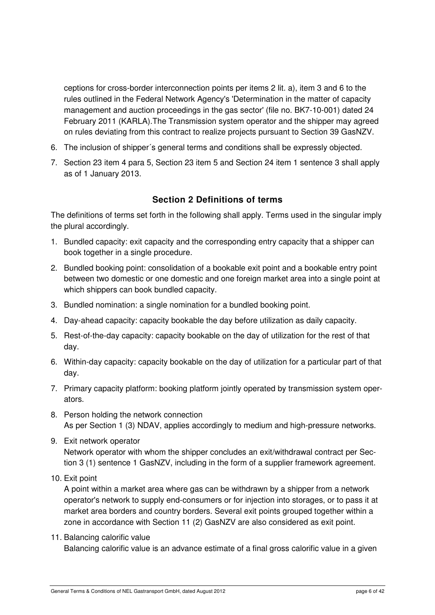ceptions for cross-border interconnection points per items 2 lit. a), item 3 and 6 to the rules outlined in the Federal Network Agency's 'Determination in the matter of capacity management and auction proceedings in the gas sector' (file no. BK7-10-001) dated 24 February 2011 (KARLA).The Transmission system operator and the shipper may agreed on rules deviating from this contract to realize projects pursuant to Section 39 GasNZV.

- 6. The inclusion of shipper´s general terms and conditions shall be expressly objected.
- 7. Section 23 item 4 para 5, Section 23 item 5 and Section 24 item 1 sentence 3 shall apply as of 1 January 2013.

#### **Section 2 Definitions of terms**

The definitions of terms set forth in the following shall apply. Terms used in the singular imply the plural accordingly.

- 1. Bundled capacity: exit capacity and the corresponding entry capacity that a shipper can book together in a single procedure.
- 2. Bundled booking point: consolidation of a bookable exit point and a bookable entry point between two domestic or one domestic and one foreign market area into a single point at which shippers can book bundled capacity.
- 3. Bundled nomination: a single nomination for a bundled booking point.
- 4. Day-ahead capacity: capacity bookable the day before utilization as daily capacity.
- 5. Rest-of-the-day capacity: capacity bookable on the day of utilization for the rest of that day.
- 6. Within-day capacity: capacity bookable on the day of utilization for a particular part of that day.
- 7. Primary capacity platform: booking platform jointly operated by transmission system operators.
- 8. Person holding the network connection As per Section 1 (3) NDAV, applies accordingly to medium and high-pressure networks.
- 9. Exit network operator Network operator with whom the shipper concludes an exit/withdrawal contract per Section 3 (1) sentence 1 GasNZV, including in the form of a supplier framework agreement.
- 10. Exit point

A point within a market area where gas can be withdrawn by a shipper from a network operator's network to supply end-consumers or for injection into storages, or to pass it at market area borders and country borders. Several exit points grouped together within a zone in accordance with Section 11 (2) GasNZV are also considered as exit point.

11. Balancing calorific value

Balancing calorific value is an advance estimate of a final gross calorific value in a given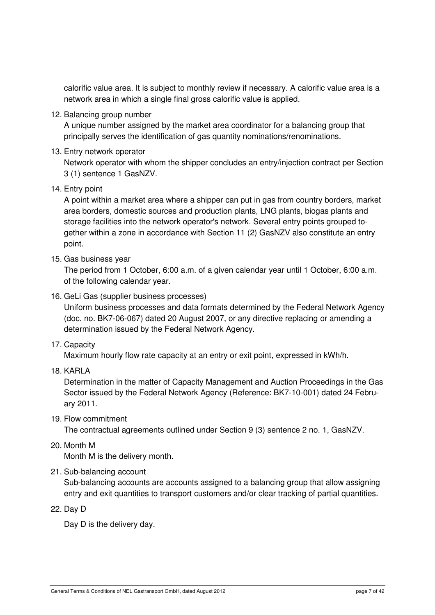calorific value area. It is subject to monthly review if necessary. A calorific value area is a network area in which a single final gross calorific value is applied.

12. Balancing group number

A unique number assigned by the market area coordinator for a balancing group that principally serves the identification of gas quantity nominations/renominations.

13. Entry network operator

Network operator with whom the shipper concludes an entry/injection contract per Section 3 (1) sentence 1 GasNZV.

14. Entry point

A point within a market area where a shipper can put in gas from country borders, market area borders, domestic sources and production plants, LNG plants, biogas plants and storage facilities into the network operator's network. Several entry points grouped together within a zone in accordance with Section 11 (2) GasNZV also constitute an entry point.

15. Gas business year

The period from 1 October, 6:00 a.m. of a given calendar year until 1 October, 6:00 a.m. of the following calendar year.

16. GeLi Gas (supplier business processes)

Uniform business processes and data formats determined by the Federal Network Agency (doc. no. BK7-06-067) dated 20 August 2007, or any directive replacing or amending a determination issued by the Federal Network Agency.

17. Capacity

Maximum hourly flow rate capacity at an entry or exit point, expressed in kWh/h.

18. KARLA

Determination in the matter of Capacity Management and Auction Proceedings in the Gas Sector issued by the Federal Network Agency (Reference: BK7-10-001) dated 24 February 2011.

19. Flow commitment

The contractual agreements outlined under Section 9 (3) sentence 2 no. 1, GasNZV.

20. Month M

Month M is the delivery month.

21. Sub-balancing account

Sub-balancing accounts are accounts assigned to a balancing group that allow assigning entry and exit quantities to transport customers and/or clear tracking of partial quantities.

22. Day D

Day D is the delivery day.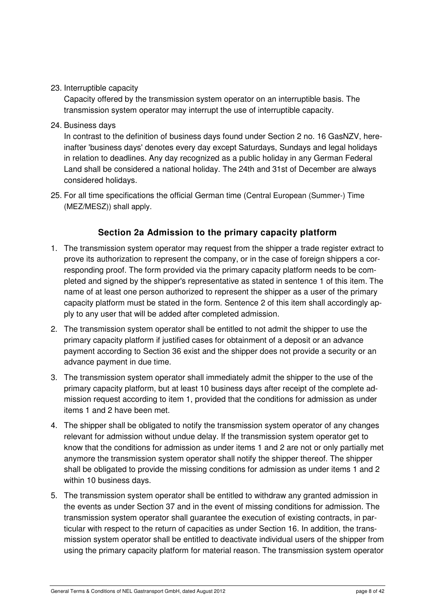23. Interruptible capacity

Capacity offered by the transmission system operator on an interruptible basis. The transmission system operator may interrupt the use of interruptible capacity.

24. Business days

In contrast to the definition of business days found under Section 2 no. 16 GasNZV, hereinafter 'business days' denotes every day except Saturdays, Sundays and legal holidays in relation to deadlines. Any day recognized as a public holiday in any German Federal Land shall be considered a national holiday. The 24th and 31st of December are always considered holidays.

25. For all time specifications the official German time (Central European (Summer-) Time (MEZ/MESZ)) shall apply.

#### **Section 2a Admission to the primary capacity platform**

- 1. The transmission system operator may request from the shipper a trade register extract to prove its authorization to represent the company, or in the case of foreign shippers a corresponding proof. The form provided via the primary capacity platform needs to be completed and signed by the shipper's representative as stated in sentence 1 of this item. The name of at least one person authorized to represent the shipper as a user of the primary capacity platform must be stated in the form. Sentence 2 of this item shall accordingly apply to any user that will be added after completed admission.
- 2. The transmission system operator shall be entitled to not admit the shipper to use the primary capacity platform if justified cases for obtainment of a deposit or an advance payment according to Section 36 exist and the shipper does not provide a security or an advance payment in due time.
- 3. The transmission system operator shall immediately admit the shipper to the use of the primary capacity platform, but at least 10 business days after receipt of the complete admission request according to item 1, provided that the conditions for admission as under items 1 and 2 have been met.
- 4. The shipper shall be obligated to notify the transmission system operator of any changes relevant for admission without undue delay. If the transmission system operator get to know that the conditions for admission as under items 1 and 2 are not or only partially met anymore the transmission system operator shall notify the shipper thereof. The shipper shall be obligated to provide the missing conditions for admission as under items 1 and 2 within 10 business days.
- 5. The transmission system operator shall be entitled to withdraw any granted admission in the events as under Section 37 and in the event of missing conditions for admission. The transmission system operator shall guarantee the execution of existing contracts, in particular with respect to the return of capacities as under Section 16. In addition, the transmission system operator shall be entitled to deactivate individual users of the shipper from using the primary capacity platform for material reason. The transmission system operator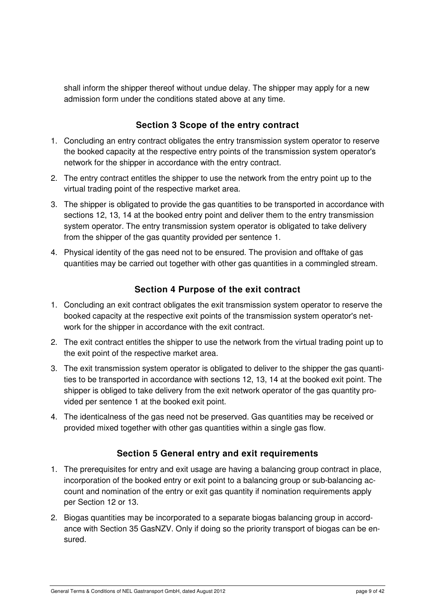shall inform the shipper thereof without undue delay. The shipper may apply for a new admission form under the conditions stated above at any time.

## **Section 3 Scope of the entry contract**

- 1. Concluding an entry contract obligates the entry transmission system operator to reserve the booked capacity at the respective entry points of the transmission system operator's network for the shipper in accordance with the entry contract.
- 2. The entry contract entitles the shipper to use the network from the entry point up to the virtual trading point of the respective market area.
- 3. The shipper is obligated to provide the gas quantities to be transported in accordance with sections 12, 13, 14 at the booked entry point and deliver them to the entry transmission system operator. The entry transmission system operator is obligated to take delivery from the shipper of the gas quantity provided per sentence 1.
- 4. Physical identity of the gas need not to be ensured. The provision and offtake of gas quantities may be carried out together with other gas quantities in a commingled stream.

## **Section 4 Purpose of the exit contract**

- 1. Concluding an exit contract obligates the exit transmission system operator to reserve the booked capacity at the respective exit points of the transmission system operator's network for the shipper in accordance with the exit contract.
- 2. The exit contract entitles the shipper to use the network from the virtual trading point up to the exit point of the respective market area.
- 3. The exit transmission system operator is obligated to deliver to the shipper the gas quantities to be transported in accordance with sections 12, 13, 14 at the booked exit point. The shipper is obliged to take delivery from the exit network operator of the gas quantity provided per sentence 1 at the booked exit point.
- 4. The identicalness of the gas need not be preserved. Gas quantities may be received or provided mixed together with other gas quantities within a single gas flow.

#### **Section 5 General entry and exit requirements**

- 1. The prerequisites for entry and exit usage are having a balancing group contract in place, incorporation of the booked entry or exit point to a balancing group or sub-balancing account and nomination of the entry or exit gas quantity if nomination requirements apply per Section 12 or 13.
- 2. Biogas quantities may be incorporated to a separate biogas balancing group in accordance with Section 35 GasNZV. Only if doing so the priority transport of biogas can be ensured.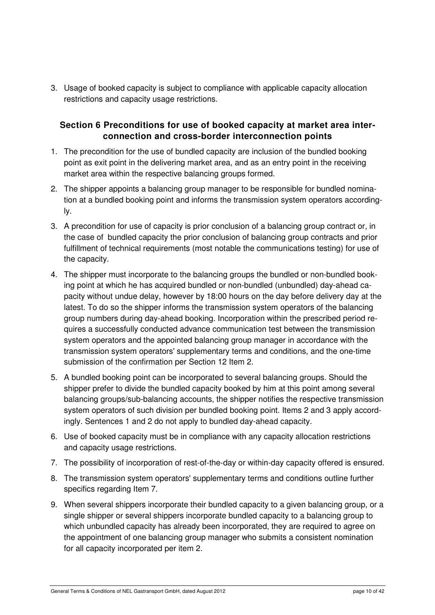3. Usage of booked capacity is subject to compliance with applicable capacity allocation restrictions and capacity usage restrictions.

#### **Section 6 Preconditions for use of booked capacity at market area interconnection and cross-border interconnection points**

- 1. The precondition for the use of bundled capacity are inclusion of the bundled booking point as exit point in the delivering market area, and as an entry point in the receiving market area within the respective balancing groups formed.
- 2. The shipper appoints a balancing group manager to be responsible for bundled nomination at a bundled booking point and informs the transmission system operators accordingly.
- 3. A precondition for use of capacity is prior conclusion of a balancing group contract or, in the case of bundled capacity the prior conclusion of balancing group contracts and prior fulfillment of technical requirements (most notable the communications testing) for use of the capacity.
- 4. The shipper must incorporate to the balancing groups the bundled or non-bundled booking point at which he has acquired bundled or non-bundled (unbundled) day-ahead capacity without undue delay, however by 18:00 hours on the day before delivery day at the latest. To do so the shipper informs the transmission system operators of the balancing group numbers during day-ahead booking. Incorporation within the prescribed period requires a successfully conducted advance communication test between the transmission system operators and the appointed balancing group manager in accordance with the transmission system operators' supplementary terms and conditions, and the one-time submission of the confirmation per Section 12 Item 2.
- 5. A bundled booking point can be incorporated to several balancing groups. Should the shipper prefer to divide the bundled capacity booked by him at this point among several balancing groups/sub-balancing accounts, the shipper notifies the respective transmission system operators of such division per bundled booking point. Items 2 and 3 apply accordingly. Sentences 1 and 2 do not apply to bundled day-ahead capacity.
- 6. Use of booked capacity must be in compliance with any capacity allocation restrictions and capacity usage restrictions.
- 7. The possibility of incorporation of rest-of-the-day or within-day capacity offered is ensured.
- 8. The transmission system operators' supplementary terms and conditions outline further specifics regarding Item 7.
- 9. When several shippers incorporate their bundled capacity to a given balancing group, or a single shipper or several shippers incorporate bundled capacity to a balancing group to which unbundled capacity has already been incorporated, they are required to agree on the appointment of one balancing group manager who submits a consistent nomination for all capacity incorporated per item 2.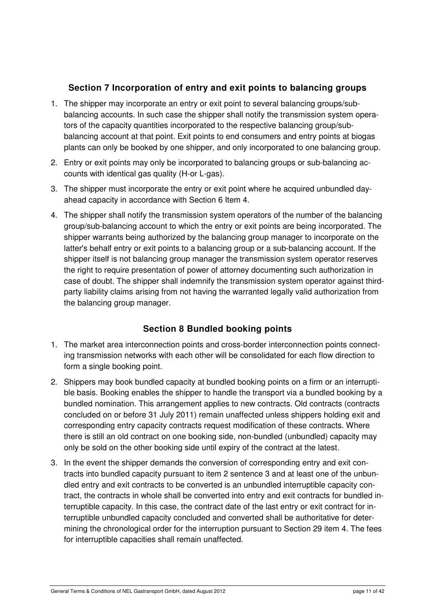## **Section 7 Incorporation of entry and exit points to balancing groups**

- 1. The shipper may incorporate an entry or exit point to several balancing groups/subbalancing accounts. In such case the shipper shall notify the transmission system operators of the capacity quantities incorporated to the respective balancing group/subbalancing account at that point. Exit points to end consumers and entry points at biogas plants can only be booked by one shipper, and only incorporated to one balancing group.
- 2. Entry or exit points may only be incorporated to balancing groups or sub-balancing accounts with identical gas quality (H-or L-gas).
- 3. The shipper must incorporate the entry or exit point where he acquired unbundled dayahead capacity in accordance with Section 6 Item 4.
- 4. The shipper shall notify the transmission system operators of the number of the balancing group/sub-balancing account to which the entry or exit points are being incorporated. The shipper warrants being authorized by the balancing group manager to incorporate on the latter's behalf entry or exit points to a balancing group or a sub-balancing account. If the shipper itself is not balancing group manager the transmission system operator reserves the right to require presentation of power of attorney documenting such authorization in case of doubt. The shipper shall indemnify the transmission system operator against thirdparty liability claims arising from not having the warranted legally valid authorization from the balancing group manager.

## **Section 8 Bundled booking points**

- 1. The market area interconnection points and cross-border interconnection points connecting transmission networks with each other will be consolidated for each flow direction to form a single booking point.
- 2. Shippers may book bundled capacity at bundled booking points on a firm or an interruptible basis. Booking enables the shipper to handle the transport via a bundled booking by a bundled nomination. This arrangement applies to new contracts. Old contracts (contracts concluded on or before 31 July 2011) remain unaffected unless shippers holding exit and corresponding entry capacity contracts request modification of these contracts. Where there is still an old contract on one booking side, non-bundled (unbundled) capacity may only be sold on the other booking side until expiry of the contract at the latest.
- 3. In the event the shipper demands the conversion of corresponding entry and exit contracts into bundled capacity pursuant to item 2 sentence 3 and at least one of the unbundled entry and exit contracts to be converted is an unbundled interruptible capacity contract, the contracts in whole shall be converted into entry and exit contracts for bundled interruptible capacity. In this case, the contract date of the last entry or exit contract for interruptible unbundled capacity concluded and converted shall be authoritative for determining the chronological order for the interruption pursuant to Section 29 item 4. The fees for interruptible capacities shall remain unaffected.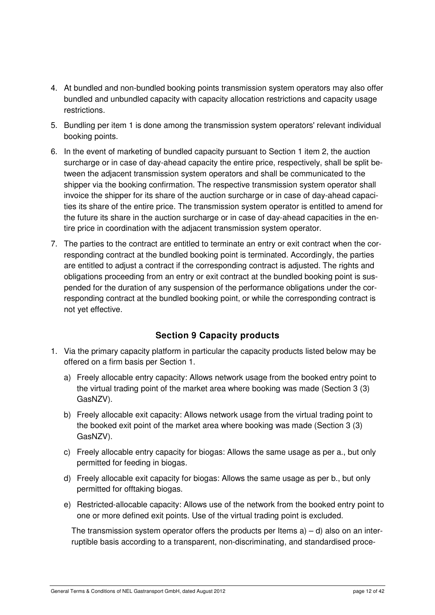- 4. At bundled and non-bundled booking points transmission system operators may also offer bundled and unbundled capacity with capacity allocation restrictions and capacity usage restrictions.
- 5. Bundling per item 1 is done among the transmission system operators' relevant individual booking points.
- 6. In the event of marketing of bundled capacity pursuant to Section 1 item 2, the auction surcharge or in case of day-ahead capacity the entire price, respectively, shall be split between the adjacent transmission system operators and shall be communicated to the shipper via the booking confirmation. The respective transmission system operator shall invoice the shipper for its share of the auction surcharge or in case of day-ahead capacities its share of the entire price. The transmission system operator is entitled to amend for the future its share in the auction surcharge or in case of day-ahead capacities in the entire price in coordination with the adjacent transmission system operator.
- 7. The parties to the contract are entitled to terminate an entry or exit contract when the corresponding contract at the bundled booking point is terminated. Accordingly, the parties are entitled to adjust a contract if the corresponding contract is adjusted. The rights and obligations proceeding from an entry or exit contract at the bundled booking point is suspended for the duration of any suspension of the performance obligations under the corresponding contract at the bundled booking point, or while the corresponding contract is not yet effective.

## **Section 9 Capacity products**

- 1. Via the primary capacity platform in particular the capacity products listed below may be offered on a firm basis per Section 1.
	- a) Freely allocable entry capacity: Allows network usage from the booked entry point to the virtual trading point of the market area where booking was made (Section 3 (3) GasNZV).
	- b) Freely allocable exit capacity: Allows network usage from the virtual trading point to the booked exit point of the market area where booking was made (Section 3 (3) GasNZV).
	- c) Freely allocable entry capacity for biogas: Allows the same usage as per a., but only permitted for feeding in biogas.
	- d) Freely allocable exit capacity for biogas: Allows the same usage as per b., but only permitted for offtaking biogas.
	- e) Restricted-allocable capacity: Allows use of the network from the booked entry point to one or more defined exit points. Use of the virtual trading point is excluded.

The transmission system operator offers the products per Items  $a$ ) – d) also on an interruptible basis according to a transparent, non-discriminating, and standardised proce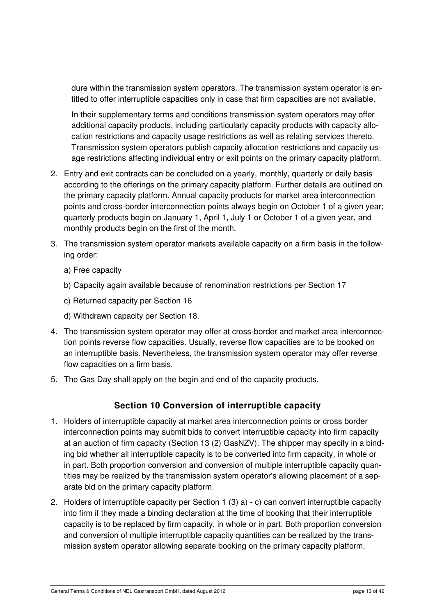dure within the transmission system operators. The transmission system operator is entitled to offer interruptible capacities only in case that firm capacities are not available.

In their supplementary terms and conditions transmission system operators may offer additional capacity products, including particularly capacity products with capacity allocation restrictions and capacity usage restrictions as well as relating services thereto. Transmission system operators publish capacity allocation restrictions and capacity usage restrictions affecting individual entry or exit points on the primary capacity platform.

- 2. Entry and exit contracts can be concluded on a yearly, monthly, quarterly or daily basis according to the offerings on the primary capacity platform. Further details are outlined on the primary capacity platform. Annual capacity products for market area interconnection points and cross-border interconnection points always begin on October 1 of a given year; quarterly products begin on January 1, April 1, July 1 or October 1 of a given year, and monthly products begin on the first of the month.
- 3. The transmission system operator markets available capacity on a firm basis in the following order:
	- a) Free capacity
	- b) Capacity again available because of renomination restrictions per Section 17
	- c) Returned capacity per Section 16
	- d) Withdrawn capacity per Section 18.
- 4. The transmission system operator may offer at cross-border and market area interconnection points reverse flow capacities. Usually, reverse flow capacities are to be booked on an interruptible basis. Nevertheless, the transmission system operator may offer reverse flow capacities on a firm basis.
- 5. The Gas Day shall apply on the begin and end of the capacity products.

#### **Section 10 Conversion of interruptible capacity**

- 1. Holders of interruptible capacity at market area interconnection points or cross border interconnection points may submit bids to convert interruptible capacity into firm capacity at an auction of firm capacity (Section 13 (2) GasNZV). The shipper may specify in a binding bid whether all interruptible capacity is to be converted into firm capacity, in whole or in part. Both proportion conversion and conversion of multiple interruptible capacity quantities may be realized by the transmission system operator's allowing placement of a separate bid on the primary capacity platform.
- 2. Holders of interruptible capacity per Section 1 (3) a) c) can convert interruptible capacity into firm if they made a binding declaration at the time of booking that their interruptible capacity is to be replaced by firm capacity, in whole or in part. Both proportion conversion and conversion of multiple interruptible capacity quantities can be realized by the transmission system operator allowing separate booking on the primary capacity platform.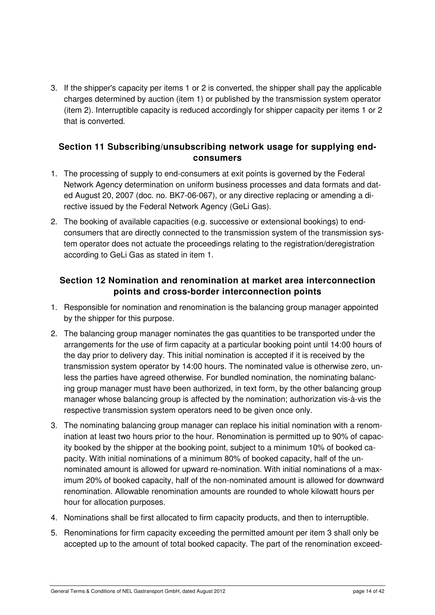3. If the shipper's capacity per items 1 or 2 is converted, the shipper shall pay the applicable charges determined by auction (item 1) or published by the transmission system operator (item 2). Interruptible capacity is reduced accordingly for shipper capacity per items 1 or 2 that is converted.

#### **Section 11 Subscribing/unsubscribing network usage for supplying endconsumers**

- 1. The processing of supply to end-consumers at exit points is governed by the Federal Network Agency determination on uniform business processes and data formats and dated August 20, 2007 (doc. no. BK7-06-067), or any directive replacing or amending a directive issued by the Federal Network Agency (GeLi Gas).
- 2. The booking of available capacities (e.g. successive or extensional bookings) to endconsumers that are directly connected to the transmission system of the transmission system operator does not actuate the proceedings relating to the registration/deregistration according to GeLi Gas as stated in item 1.

#### **Section 12 Nomination and renomination at market area interconnection points and cross-border interconnection points**

- 1. Responsible for nomination and renomination is the balancing group manager appointed by the shipper for this purpose.
- 2. The balancing group manager nominates the gas quantities to be transported under the arrangements for the use of firm capacity at a particular booking point until 14:00 hours of the day prior to delivery day. This initial nomination is accepted if it is received by the transmission system operator by 14:00 hours. The nominated value is otherwise zero, unless the parties have agreed otherwise. For bundled nomination, the nominating balancing group manager must have been authorized, in text form, by the other balancing group manager whose balancing group is affected by the nomination; authorization vis-à-vis the respective transmission system operators need to be given once only.
- 3. The nominating balancing group manager can replace his initial nomination with a renomination at least two hours prior to the hour. Renomination is permitted up to 90% of capacity booked by the shipper at the booking point, subject to a minimum 10% of booked capacity. With initial nominations of a minimum 80% of booked capacity, half of the unnominated amount is allowed for upward re-nomination. With initial nominations of a maximum 20% of booked capacity, half of the non-nominated amount is allowed for downward renomination. Allowable renomination amounts are rounded to whole kilowatt hours per hour for allocation purposes.
- 4. Nominations shall be first allocated to firm capacity products, and then to interruptible.
- 5. Renominations for firm capacity exceeding the permitted amount per item 3 shall only be accepted up to the amount of total booked capacity. The part of the renomination exceed-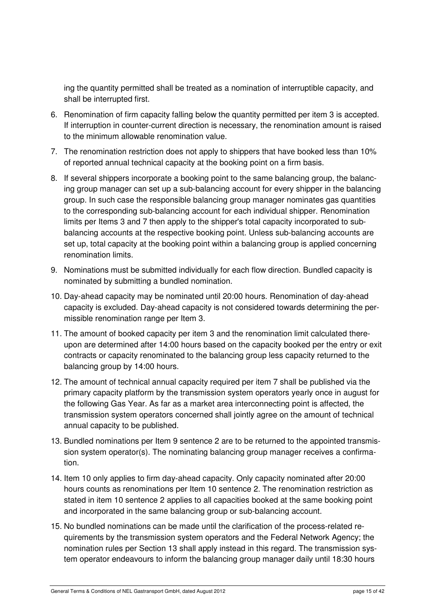ing the quantity permitted shall be treated as a nomination of interruptible capacity, and shall be interrupted first.

- 6. Renomination of firm capacity falling below the quantity permitted per item 3 is accepted. If interruption in counter-current direction is necessary, the renomination amount is raised to the minimum allowable renomination value.
- 7. The renomination restriction does not apply to shippers that have booked less than 10% of reported annual technical capacity at the booking point on a firm basis.
- 8. If several shippers incorporate a booking point to the same balancing group, the balancing group manager can set up a sub-balancing account for every shipper in the balancing group. In such case the responsible balancing group manager nominates gas quantities to the corresponding sub-balancing account for each individual shipper. Renomination limits per Items 3 and 7 then apply to the shipper's total capacity incorporated to subbalancing accounts at the respective booking point. Unless sub-balancing accounts are set up, total capacity at the booking point within a balancing group is applied concerning renomination limits.
- 9. Nominations must be submitted individually for each flow direction. Bundled capacity is nominated by submitting a bundled nomination.
- 10. Day-ahead capacity may be nominated until 20:00 hours. Renomination of day-ahead capacity is excluded. Day-ahead capacity is not considered towards determining the permissible renomination range per Item 3.
- 11. The amount of booked capacity per item 3 and the renomination limit calculated thereupon are determined after 14:00 hours based on the capacity booked per the entry or exit contracts or capacity renominated to the balancing group less capacity returned to the balancing group by 14:00 hours.
- 12. The amount of technical annual capacity required per item 7 shall be published via the primary capacity platform by the transmission system operators yearly once in august for the following Gas Year. As far as a market area interconnecting point is affected, the transmission system operators concerned shall jointly agree on the amount of technical annual capacity to be published.
- 13. Bundled nominations per Item 9 sentence 2 are to be returned to the appointed transmission system operator(s). The nominating balancing group manager receives a confirmation.
- 14. Item 10 only applies to firm day-ahead capacity. Only capacity nominated after 20:00 hours counts as renominations per Item 10 sentence 2. The renomination restriction as stated in item 10 sentence 2 applies to all capacities booked at the same booking point and incorporated in the same balancing group or sub-balancing account.
- 15. No bundled nominations can be made until the clarification of the process-related requirements by the transmission system operators and the Federal Network Agency; the nomination rules per Section 13 shall apply instead in this regard. The transmission system operator endeavours to inform the balancing group manager daily until 18:30 hours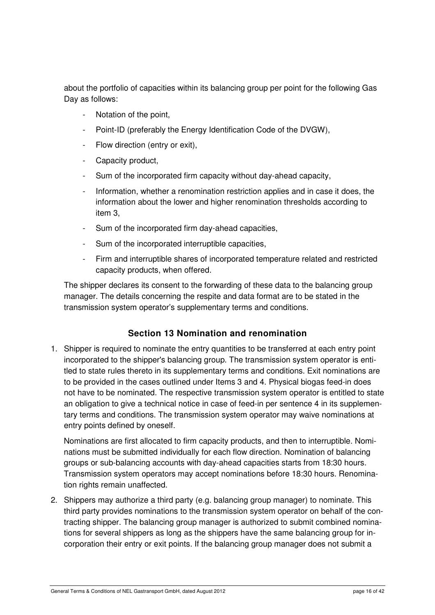about the portfolio of capacities within its balancing group per point for the following Gas Day as follows:

- Notation of the point,
- Point-ID (preferably the Energy Identification Code of the DVGW),
- Flow direction (entry or exit),
- Capacity product,
- Sum of the incorporated firm capacity without day-ahead capacity,
- Information, whether a renomination restriction applies and in case it does, the information about the lower and higher renomination thresholds according to item 3,
- Sum of the incorporated firm day-ahead capacities,
- Sum of the incorporated interruptible capacities,
- Firm and interruptible shares of incorporated temperature related and restricted capacity products, when offered.

The shipper declares its consent to the forwarding of these data to the balancing group manager. The details concerning the respite and data format are to be stated in the transmission system operator's supplementary terms and conditions.

#### **Section 13 Nomination and renomination**

1. Shipper is required to nominate the entry quantities to be transferred at each entry point incorporated to the shipper's balancing group. The transmission system operator is entitled to state rules thereto in its supplementary terms and conditions. Exit nominations are to be provided in the cases outlined under Items 3 and 4. Physical biogas feed-in does not have to be nominated. The respective transmission system operator is entitled to state an obligation to give a technical notice in case of feed-in per sentence 4 in its supplementary terms and conditions. The transmission system operator may waive nominations at entry points defined by oneself.

Nominations are first allocated to firm capacity products, and then to interruptible. Nominations must be submitted individually for each flow direction. Nomination of balancing groups or sub-balancing accounts with day-ahead capacities starts from 18:30 hours. Transmission system operators may accept nominations before 18:30 hours. Renomination rights remain unaffected.

2. Shippers may authorize a third party (e.g. balancing group manager) to nominate. This third party provides nominations to the transmission system operator on behalf of the contracting shipper. The balancing group manager is authorized to submit combined nominations for several shippers as long as the shippers have the same balancing group for incorporation their entry or exit points. If the balancing group manager does not submit a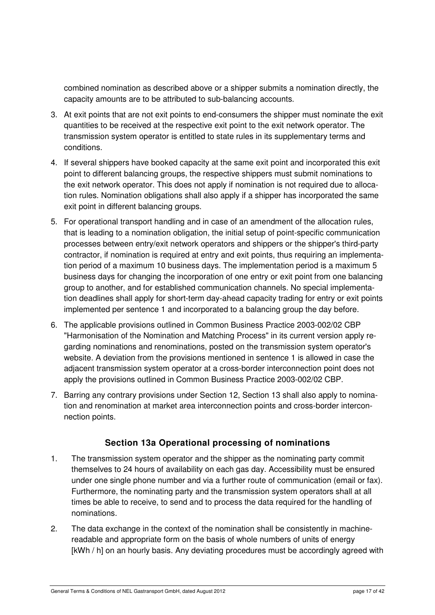combined nomination as described above or a shipper submits a nomination directly, the capacity amounts are to be attributed to sub-balancing accounts.

- 3. At exit points that are not exit points to end-consumers the shipper must nominate the exit quantities to be received at the respective exit point to the exit network operator. The transmission system operator is entitled to state rules in its supplementary terms and conditions.
- 4. If several shippers have booked capacity at the same exit point and incorporated this exit point to different balancing groups, the respective shippers must submit nominations to the exit network operator. This does not apply if nomination is not required due to allocation rules. Nomination obligations shall also apply if a shipper has incorporated the same exit point in different balancing groups.
- 5. For operational transport handling and in case of an amendment of the allocation rules, that is leading to a nomination obligation, the initial setup of point-specific communication processes between entry/exit network operators and shippers or the shipper's third-party contractor, if nomination is required at entry and exit points, thus requiring an implementation period of a maximum 10 business days. The implementation period is a maximum 5 business days for changing the incorporation of one entry or exit point from one balancing group to another, and for established communication channels. No special implementation deadlines shall apply for short-term day-ahead capacity trading for entry or exit points implemented per sentence 1 and incorporated to a balancing group the day before.
- 6. The applicable provisions outlined in Common Business Practice 2003-002/02 CBP "Harmonisation of the Nomination and Matching Process" in its current version apply regarding nominations and renominations, posted on the transmission system operator's website. A deviation from the provisions mentioned in sentence 1 is allowed in case the adjacent transmission system operator at a cross-border interconnection point does not apply the provisions outlined in Common Business Practice 2003-002/02 CBP.
- 7. Barring any contrary provisions under Section 12, Section 13 shall also apply to nomination and renomination at market area interconnection points and cross-border interconnection points.

#### **Section 13a Operational processing of nominations**

- 1. The transmission system operator and the shipper as the nominating party commit themselves to 24 hours of availability on each gas day. Accessibility must be ensured under one single phone number and via a further route of communication (email or fax). Furthermore, the nominating party and the transmission system operators shall at all times be able to receive, to send and to process the data required for the handling of nominations.
- 2. The data exchange in the context of the nomination shall be consistently in machinereadable and appropriate form on the basis of whole numbers of units of energy [kWh / h] on an hourly basis. Any deviating procedures must be accordingly agreed with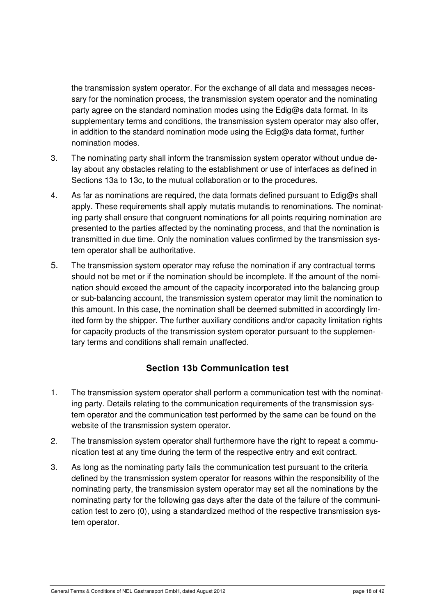the transmission system operator. For the exchange of all data and messages necessary for the nomination process, the transmission system operator and the nominating party agree on the standard nomination modes using the Edig@s data format. In its supplementary terms and conditions, the transmission system operator may also offer, in addition to the standard nomination mode using the Edig@s data format, further nomination modes.

- 3. The nominating party shall inform the transmission system operator without undue delay about any obstacles relating to the establishment or use of interfaces as defined in Sections 13a to 13c, to the mutual collaboration or to the procedures.
- 4. As far as nominations are required, the data formats defined pursuant to Edig@s shall apply. These requirements shall apply mutatis mutandis to renominations. The nominating party shall ensure that congruent nominations for all points requiring nomination are presented to the parties affected by the nominating process, and that the nomination is transmitted in due time. Only the nomination values confirmed by the transmission system operator shall be authoritative.
- 5. The transmission system operator may refuse the nomination if any contractual terms should not be met or if the nomination should be incomplete. If the amount of the nomination should exceed the amount of the capacity incorporated into the balancing group or sub-balancing account, the transmission system operator may limit the nomination to this amount. In this case, the nomination shall be deemed submitted in accordingly limited form by the shipper. The further auxiliary conditions and/or capacity limitation rights for capacity products of the transmission system operator pursuant to the supplementary terms and conditions shall remain unaffected.

## **Section 13b Communication test**

- 1. The transmission system operator shall perform a communication test with the nominating party. Details relating to the communication requirements of the transmission system operator and the communication test performed by the same can be found on the website of the transmission system operator.
- 2. The transmission system operator shall furthermore have the right to repeat a communication test at any time during the term of the respective entry and exit contract.
- 3. As long as the nominating party fails the communication test pursuant to the criteria defined by the transmission system operator for reasons within the responsibility of the nominating party, the transmission system operator may set all the nominations by the nominating party for the following gas days after the date of the failure of the communication test to zero (0), using a standardized method of the respective transmission system operator.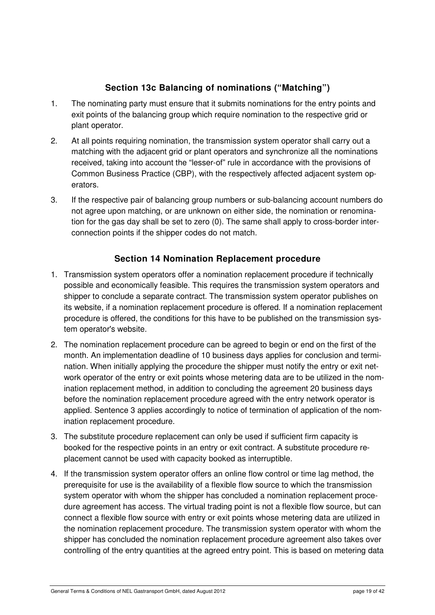## **Section 13c Balancing of nominations ("Matching")**

- 1. The nominating party must ensure that it submits nominations for the entry points and exit points of the balancing group which require nomination to the respective grid or plant operator.
- 2. At all points requiring nomination, the transmission system operator shall carry out a matching with the adjacent grid or plant operators and synchronize all the nominations received, taking into account the "lesser-of" rule in accordance with the provisions of Common Business Practice (CBP), with the respectively affected adjacent system operators.
- 3. If the respective pair of balancing group numbers or sub-balancing account numbers do not agree upon matching, or are unknown on either side, the nomination or renomination for the gas day shall be set to zero (0). The same shall apply to cross-border interconnection points if the shipper codes do not match.

## **Section 14 Nomination Replacement procedure**

- 1. Transmission system operators offer a nomination replacement procedure if technically possible and economically feasible. This requires the transmission system operators and shipper to conclude a separate contract. The transmission system operator publishes on its website, if a nomination replacement procedure is offered. If a nomination replacement procedure is offered, the conditions for this have to be published on the transmission system operator's website.
- 2. The nomination replacement procedure can be agreed to begin or end on the first of the month. An implementation deadline of 10 business days applies for conclusion and termination. When initially applying the procedure the shipper must notify the entry or exit network operator of the entry or exit points whose metering data are to be utilized in the nomination replacement method, in addition to concluding the agreement 20 business days before the nomination replacement procedure agreed with the entry network operator is applied. Sentence 3 applies accordingly to notice of termination of application of the nomination replacement procedure.
- 3. The substitute procedure replacement can only be used if sufficient firm capacity is booked for the respective points in an entry or exit contract. A substitute procedure replacement cannot be used with capacity booked as interruptible.
- 4. If the transmission system operator offers an online flow control or time lag method, the prerequisite for use is the availability of a flexible flow source to which the transmission system operator with whom the shipper has concluded a nomination replacement procedure agreement has access. The virtual trading point is not a flexible flow source, but can connect a flexible flow source with entry or exit points whose metering data are utilized in the nomination replacement procedure. The transmission system operator with whom the shipper has concluded the nomination replacement procedure agreement also takes over controlling of the entry quantities at the agreed entry point. This is based on metering data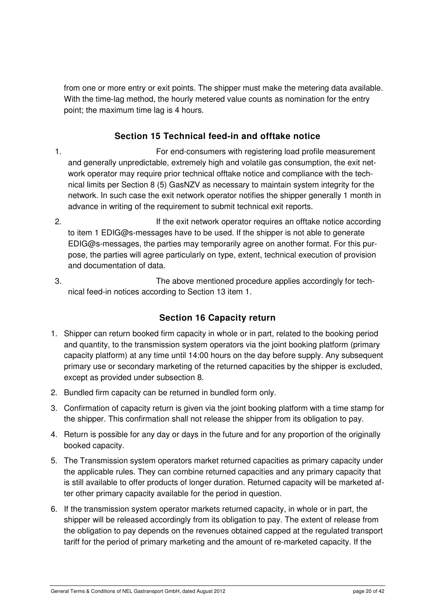from one or more entry or exit points. The shipper must make the metering data available. With the time-lag method, the hourly metered value counts as nomination for the entry point; the maximum time lag is 4 hours.

## **Section 15 Technical feed-in and offtake notice**

- 1. For end-consumers with registering load profile measurement and generally unpredictable, extremely high and volatile gas consumption, the exit network operator may require prior technical offtake notice and compliance with the technical limits per Section 8 (5) GasNZV as necessary to maintain system integrity for the network. In such case the exit network operator notifies the shipper generally 1 month in advance in writing of the requirement to submit technical exit reports.
- 2. If the exit network operator requires an offtake notice according to item 1 EDIG@s-messages have to be used. If the shipper is not able to generate EDIG@s-messages, the parties may temporarily agree on another format. For this purpose, the parties will agree particularly on type, extent, technical execution of provision and documentation of data.
- 3. The above mentioned procedure applies accordingly for technical feed-in notices according to Section 13 item 1.

#### **Section 16 Capacity return**

- 1. Shipper can return booked firm capacity in whole or in part, related to the booking period and quantity, to the transmission system operators via the joint booking platform (primary capacity platform) at any time until 14:00 hours on the day before supply. Any subsequent primary use or secondary marketing of the returned capacities by the shipper is excluded, except as provided under subsection 8.
- 2. Bundled firm capacity can be returned in bundled form only.
- 3. Confirmation of capacity return is given via the joint booking platform with a time stamp for the shipper. This confirmation shall not release the shipper from its obligation to pay.
- 4. Return is possible for any day or days in the future and for any proportion of the originally booked capacity.
- 5. The Transmission system operators market returned capacities as primary capacity under the applicable rules. They can combine returned capacities and any primary capacity that is still available to offer products of longer duration. Returned capacity will be marketed after other primary capacity available for the period in question.
- 6. If the transmission system operator markets returned capacity, in whole or in part, the shipper will be released accordingly from its obligation to pay. The extent of release from the obligation to pay depends on the revenues obtained capped at the regulated transport tariff for the period of primary marketing and the amount of re-marketed capacity. If the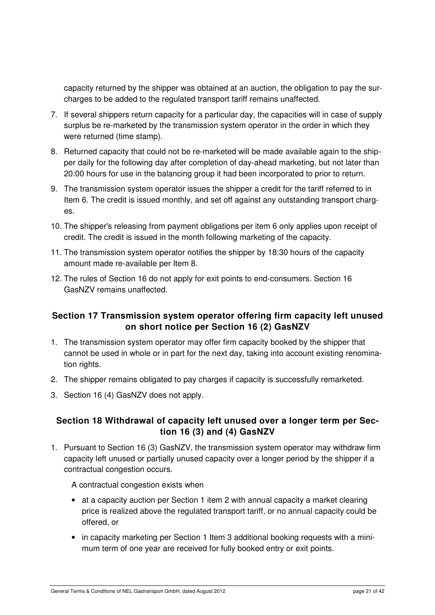capacity returned by the shipper was obtained at an auction, the obligation to pay the surcharges to be added to the regulated transport tariff remains unaffected.

- 7. If several shippers return capacity for a particular day, the capacities will in case of supply surplus be re-marketed by the transmission system operator in the order in which they were returned (time stamp).
- 8. Returned capacity that could not be re-marketed will be made available again to the shipper daily for the following day after completion of day-ahead marketing, but not later than 20:00 hours for use in the balancing group it had been incorporated to prior to return.
- 9. The transmission system operator issues the shipper a credit for the tariff referred to in Item 6. The credit is issued monthly, and set off against any outstanding transport charges.
- 10. The shipper's releasing from payment obligations per item 6 only applies upon receipt of credit. The credit is issued in the month following marketing of the capacity.
- 11. The transmission system operator notifies the shipper by 18:30 hours of the capacity amount made re-available per Item 8.
- 12. The rules of Section 16 do not apply for exit points to end-consumers. Section 16 GasNZV remains unaffected.

#### **Section 17 Transmission system operator offering firm capacity left unused on short notice per Section 16 (2) GasNZV**

- 1. The transmission system operator may offer firm capacity booked by the shipper that cannot be used in whole or in part for the next day, taking into account existing renomination rights.
- 2. The shipper remains obligated to pay charges if capacity is successfully remarketed.
- 3. Section 16 (4) GasNZV does not apply.

#### **Section 18 Withdrawal of capacity left unused over a longer term per Section 16 (3) and (4) GasNZV**

1. Pursuant to Section 16 (3) GasNZV, the transmission system operator may withdraw firm capacity left unused or partially unused capacity over a longer period by the shipper if a contractual congestion occurs.

A contractual congestion exists when

- at a capacity auction per Section 1 item 2 with annual capacity a market clearing price is realized above the regulated transport tariff, or no annual capacity could be offered, or
- in capacity marketing per Section 1 Item 3 additional booking requests with a minimum term of one year are received for fully booked entry or exit points.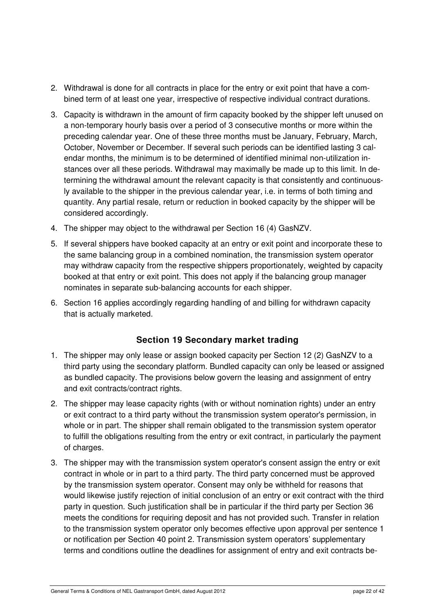- 2. Withdrawal is done for all contracts in place for the entry or exit point that have a combined term of at least one year, irrespective of respective individual contract durations.
- 3. Capacity is withdrawn in the amount of firm capacity booked by the shipper left unused on a non-temporary hourly basis over a period of 3 consecutive months or more within the preceding calendar year. One of these three months must be January, February, March, October, November or December. If several such periods can be identified lasting 3 calendar months, the minimum is to be determined of identified minimal non-utilization instances over all these periods. Withdrawal may maximally be made up to this limit. In determining the withdrawal amount the relevant capacity is that consistently and continuously available to the shipper in the previous calendar year, i.e. in terms of both timing and quantity. Any partial resale, return or reduction in booked capacity by the shipper will be considered accordingly.
- 4. The shipper may object to the withdrawal per Section 16 (4) GasNZV.
- 5. If several shippers have booked capacity at an entry or exit point and incorporate these to the same balancing group in a combined nomination, the transmission system operator may withdraw capacity from the respective shippers proportionately, weighted by capacity booked at that entry or exit point. This does not apply if the balancing group manager nominates in separate sub-balancing accounts for each shipper.
- 6. Section 16 applies accordingly regarding handling of and billing for withdrawn capacity that is actually marketed.

#### **Section 19 Secondary market trading**

- 1. The shipper may only lease or assign booked capacity per Section 12 (2) GasNZV to a third party using the secondary platform. Bundled capacity can only be leased or assigned as bundled capacity. The provisions below govern the leasing and assignment of entry and exit contracts/contract rights.
- 2. The shipper may lease capacity rights (with or without nomination rights) under an entry or exit contract to a third party without the transmission system operator's permission, in whole or in part. The shipper shall remain obligated to the transmission system operator to fulfill the obligations resulting from the entry or exit contract, in particularly the payment of charges.
- 3. The shipper may with the transmission system operator's consent assign the entry or exit contract in whole or in part to a third party. The third party concerned must be approved by the transmission system operator. Consent may only be withheld for reasons that would likewise justify rejection of initial conclusion of an entry or exit contract with the third party in question. Such justification shall be in particular if the third party per Section 36 meets the conditions for requiring deposit and has not provided such. Transfer in relation to the transmission system operator only becomes effective upon approval per sentence 1 or notification per Section 40 point 2. Transmission system operators' supplementary terms and conditions outline the deadlines for assignment of entry and exit contracts be-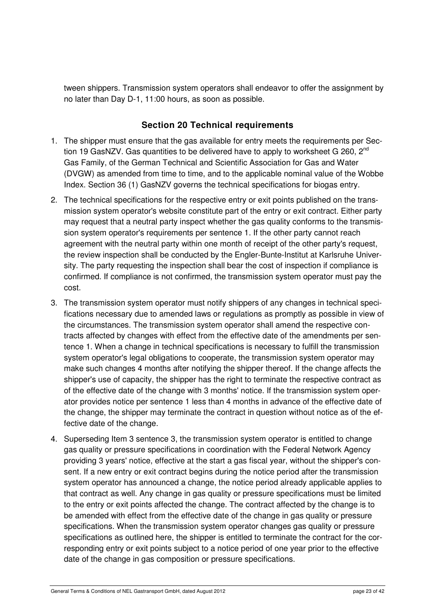tween shippers. Transmission system operators shall endeavor to offer the assignment by no later than Day D-1, 11:00 hours, as soon as possible.

#### **Section 20 Technical requirements**

- 1. The shipper must ensure that the gas available for entry meets the requirements per Section 19 GasNZV. Gas quantities to be delivered have to apply to worksheet G 260, 2<sup>nd</sup> Gas Family, of the German Technical and Scientific Association for Gas and Water (DVGW) as amended from time to time, and to the applicable nominal value of the Wobbe Index. Section 36 (1) GasNZV governs the technical specifications for biogas entry.
- 2. The technical specifications for the respective entry or exit points published on the transmission system operator's website constitute part of the entry or exit contract. Either party may request that a neutral party inspect whether the gas quality conforms to the transmission system operator's requirements per sentence 1. If the other party cannot reach agreement with the neutral party within one month of receipt of the other party's request, the review inspection shall be conducted by the Engler-Bunte-Institut at Karlsruhe University. The party requesting the inspection shall bear the cost of inspection if compliance is confirmed. If compliance is not confirmed, the transmission system operator must pay the cost.
- 3. The transmission system operator must notify shippers of any changes in technical specifications necessary due to amended laws or regulations as promptly as possible in view of the circumstances. The transmission system operator shall amend the respective contracts affected by changes with effect from the effective date of the amendments per sentence 1. When a change in technical specifications is necessary to fulfill the transmission system operator's legal obligations to cooperate, the transmission system operator may make such changes 4 months after notifying the shipper thereof. If the change affects the shipper's use of capacity, the shipper has the right to terminate the respective contract as of the effective date of the change with 3 months' notice. If the transmission system operator provides notice per sentence 1 less than 4 months in advance of the effective date of the change, the shipper may terminate the contract in question without notice as of the effective date of the change.
- 4. Superseding Item 3 sentence 3, the transmission system operator is entitled to change gas quality or pressure specifications in coordination with the Federal Network Agency providing 3 years' notice, effective at the start a gas fiscal year, without the shipper's consent. If a new entry or exit contract begins during the notice period after the transmission system operator has announced a change, the notice period already applicable applies to that contract as well. Any change in gas quality or pressure specifications must be limited to the entry or exit points affected the change. The contract affected by the change is to be amended with effect from the effective date of the change in gas quality or pressure specifications. When the transmission system operator changes gas quality or pressure specifications as outlined here, the shipper is entitled to terminate the contract for the corresponding entry or exit points subject to a notice period of one year prior to the effective date of the change in gas composition or pressure specifications.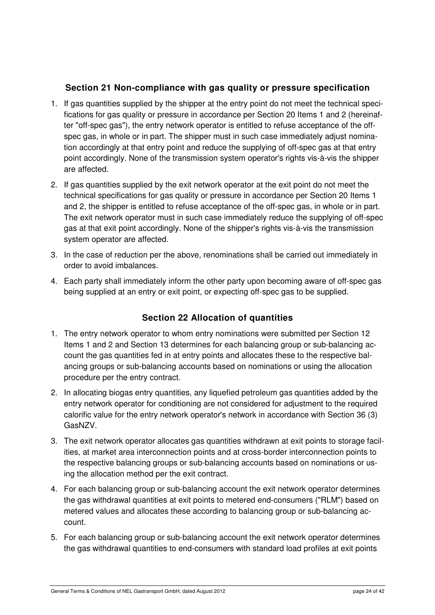#### **Section 21 Non-compliance with gas quality or pressure specification**

- 1. If gas quantities supplied by the shipper at the entry point do not meet the technical specifications for gas quality or pressure in accordance per Section 20 Items 1 and 2 (hereinafter "off-spec gas"), the entry network operator is entitled to refuse acceptance of the offspec gas, in whole or in part. The shipper must in such case immediately adjust nomination accordingly at that entry point and reduce the supplying of off-spec gas at that entry point accordingly. None of the transmission system operator's rights vis-à-vis the shipper are affected.
- 2. If gas quantities supplied by the exit network operator at the exit point do not meet the technical specifications for gas quality or pressure in accordance per Section 20 Items 1 and 2, the shipper is entitled to refuse acceptance of the off-spec gas, in whole or in part. The exit network operator must in such case immediately reduce the supplying of off-spec gas at that exit point accordingly. None of the shipper's rights vis-à-vis the transmission system operator are affected.
- 3. In the case of reduction per the above, renominations shall be carried out immediately in order to avoid imbalances.
- 4. Each party shall immediately inform the other party upon becoming aware of off-spec gas being supplied at an entry or exit point, or expecting off-spec gas to be supplied.

## **Section 22 Allocation of quantities**

- 1. The entry network operator to whom entry nominations were submitted per Section 12 Items 1 and 2 and Section 13 determines for each balancing group or sub-balancing account the gas quantities fed in at entry points and allocates these to the respective balancing groups or sub-balancing accounts based on nominations or using the allocation procedure per the entry contract.
- 2. In allocating biogas entry quantities, any liquefied petroleum gas quantities added by the entry network operator for conditioning are not considered for adjustment to the required calorific value for the entry network operator's network in accordance with Section 36 (3) GasNZV.
- 3. The exit network operator allocates gas quantities withdrawn at exit points to storage facilities, at market area interconnection points and at cross-border interconnection points to the respective balancing groups or sub-balancing accounts based on nominations or using the allocation method per the exit contract.
- 4. For each balancing group or sub-balancing account the exit network operator determines the gas withdrawal quantities at exit points to metered end-consumers ("RLM") based on metered values and allocates these according to balancing group or sub-balancing account.
- 5. For each balancing group or sub-balancing account the exit network operator determines the gas withdrawal quantities to end-consumers with standard load profiles at exit points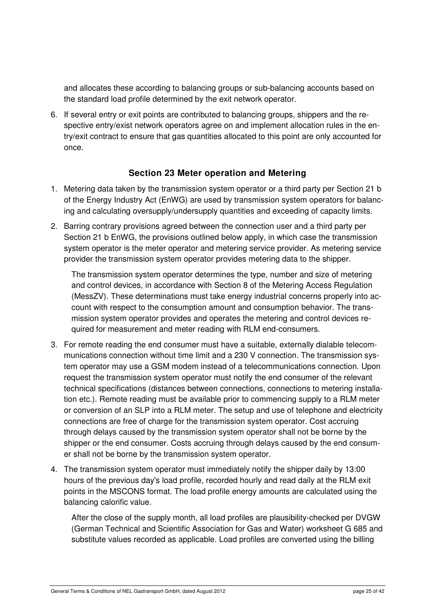and allocates these according to balancing groups or sub-balancing accounts based on the standard load profile determined by the exit network operator.

6. If several entry or exit points are contributed to balancing groups, shippers and the respective entry/exist network operators agree on and implement allocation rules in the entry/exit contract to ensure that gas quantities allocated to this point are only accounted for once.

#### **Section 23 Meter operation and Metering**

- 1. Metering data taken by the transmission system operator or a third party per Section 21 b of the Energy Industry Act (EnWG) are used by transmission system operators for balancing and calculating oversupply/undersupply quantities and exceeding of capacity limits.
- 2. Barring contrary provisions agreed between the connection user and a third party per Section 21 b EnWG, the provisions outlined below apply, in which case the transmission system operator is the meter operator and metering service provider. As metering service provider the transmission system operator provides metering data to the shipper.

The transmission system operator determines the type, number and size of metering and control devices, in accordance with Section 8 of the Metering Access Regulation (MessZV). These determinations must take energy industrial concerns properly into account with respect to the consumption amount and consumption behavior. The transmission system operator provides and operates the metering and control devices required for measurement and meter reading with RLM end-consumers.

- 3. For remote reading the end consumer must have a suitable, externally dialable telecommunications connection without time limit and a 230 V connection. The transmission system operator may use a GSM modem instead of a telecommunications connection. Upon request the transmission system operator must notify the end consumer of the relevant technical specifications (distances between connections, connections to metering installation etc.). Remote reading must be available prior to commencing supply to a RLM meter or conversion of an SLP into a RLM meter. The setup and use of telephone and electricity connections are free of charge for the transmission system operator. Cost accruing through delays caused by the transmission system operator shall not be borne by the shipper or the end consumer. Costs accruing through delays caused by the end consumer shall not be borne by the transmission system operator.
- 4. The transmission system operator must immediately notify the shipper daily by 13:00 hours of the previous day's load profile, recorded hourly and read daily at the RLM exit points in the MSCONS format. The load profile energy amounts are calculated using the balancing calorific value.

After the close of the supply month, all load profiles are plausibility-checked per DVGW (German Technical and Scientific Association for Gas and Water) worksheet G 685 and substitute values recorded as applicable. Load profiles are converted using the billing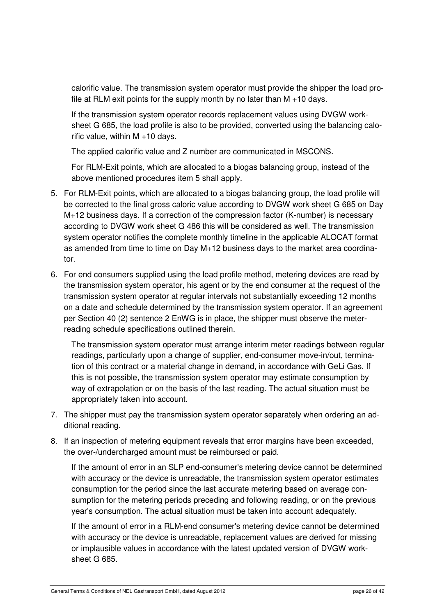calorific value. The transmission system operator must provide the shipper the load profile at RLM exit points for the supply month by no later than  $M + 10$  days.

If the transmission system operator records replacement values using DVGW worksheet G 685, the load profile is also to be provided, converted using the balancing calorific value, within M +10 days.

The applied calorific value and Z number are communicated in MSCONS.

For RLM-Exit points, which are allocated to a biogas balancing group, instead of the above mentioned procedures item 5 shall apply.

- 5. For RLM-Exit points, which are allocated to a biogas balancing group, the load profile will be corrected to the final gross caloric value according to DVGW work sheet G 685 on Day M+12 business days. If a correction of the compression factor (K-number) is necessary according to DVGW work sheet G 486 this will be considered as well. The transmission system operator notifies the complete monthly timeline in the applicable ALOCAT format as amended from time to time on Day M+12 business days to the market area coordinator.
- 6. For end consumers supplied using the load profile method, metering devices are read by the transmission system operator, his agent or by the end consumer at the request of the transmission system operator at regular intervals not substantially exceeding 12 months on a date and schedule determined by the transmission system operator. If an agreement per Section 40 (2) sentence 2 EnWG is in place, the shipper must observe the meterreading schedule specifications outlined therein.

The transmission system operator must arrange interim meter readings between regular readings, particularly upon a change of supplier, end-consumer move-in/out, termination of this contract or a material change in demand, in accordance with GeLi Gas. If this is not possible, the transmission system operator may estimate consumption by way of extrapolation or on the basis of the last reading. The actual situation must be appropriately taken into account.

- 7. The shipper must pay the transmission system operator separately when ordering an additional reading.
- 8. If an inspection of metering equipment reveals that error margins have been exceeded, the over-/undercharged amount must be reimbursed or paid.

If the amount of error in an SLP end-consumer's metering device cannot be determined with accuracy or the device is unreadable, the transmission system operator estimates consumption for the period since the last accurate metering based on average consumption for the metering periods preceding and following reading, or on the previous year's consumption. The actual situation must be taken into account adequately.

If the amount of error in a RLM-end consumer's metering device cannot be determined with accuracy or the device is unreadable, replacement values are derived for missing or implausible values in accordance with the latest updated version of DVGW worksheet G 685.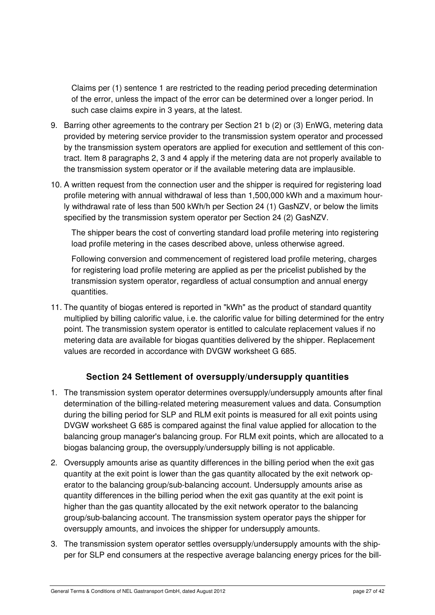Claims per (1) sentence 1 are restricted to the reading period preceding determination of the error, unless the impact of the error can be determined over a longer period. In such case claims expire in 3 years, at the latest.

- 9. Barring other agreements to the contrary per Section 21 b (2) or (3) EnWG, metering data provided by metering service provider to the transmission system operator and processed by the transmission system operators are applied for execution and settlement of this contract. Item 8 paragraphs 2, 3 and 4 apply if the metering data are not properly available to the transmission system operator or if the available metering data are implausible.
- 10. A written request from the connection user and the shipper is required for registering load profile metering with annual withdrawal of less than 1,500,000 kWh and a maximum hourly withdrawal rate of less than 500 kWh/h per Section 24 (1) GasNZV, or below the limits specified by the transmission system operator per Section 24 (2) GasNZV.

The shipper bears the cost of converting standard load profile metering into registering load profile metering in the cases described above, unless otherwise agreed.

Following conversion and commencement of registered load profile metering, charges for registering load profile metering are applied as per the pricelist published by the transmission system operator, regardless of actual consumption and annual energy quantities.

11. The quantity of biogas entered is reported in "kWh" as the product of standard quantity multiplied by billing calorific value, i.e. the calorific value for billing determined for the entry point. The transmission system operator is entitled to calculate replacement values if no metering data are available for biogas quantities delivered by the shipper. Replacement values are recorded in accordance with DVGW worksheet G 685.

## **Section 24 Settlement of oversupply/undersupply quantities**

- 1. The transmission system operator determines oversupply/undersupply amounts after final determination of the billing-related metering measurement values and data. Consumption during the billing period for SLP and RLM exit points is measured for all exit points using DVGW worksheet G 685 is compared against the final value applied for allocation to the balancing group manager's balancing group. For RLM exit points, which are allocated to a biogas balancing group, the oversupply/undersupply billing is not applicable.
- 2. Oversupply amounts arise as quantity differences in the billing period when the exit gas quantity at the exit point is lower than the gas quantity allocated by the exit network operator to the balancing group/sub-balancing account. Undersupply amounts arise as quantity differences in the billing period when the exit gas quantity at the exit point is higher than the gas quantity allocated by the exit network operator to the balancing group/sub-balancing account. The transmission system operator pays the shipper for oversupply amounts, and invoices the shipper for undersupply amounts.
- 3. The transmission system operator settles oversupply/undersupply amounts with the shipper for SLP end consumers at the respective average balancing energy prices for the bill-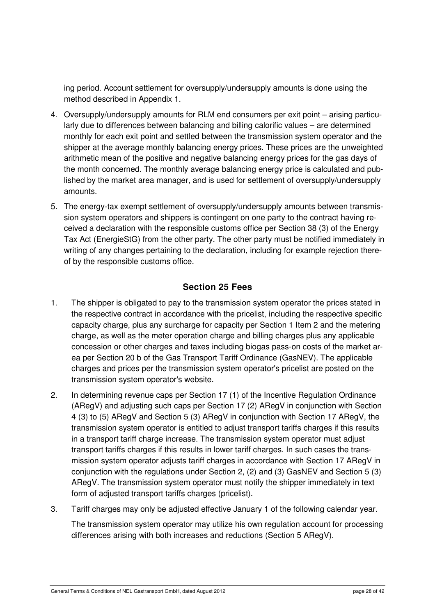ing period. Account settlement for oversupply/undersupply amounts is done using the method described in Appendix 1.

- 4. Oversupply/undersupply amounts for RLM end consumers per exit point arising particularly due to differences between balancing and billing calorific values – are determined monthly for each exit point and settled between the transmission system operator and the shipper at the average monthly balancing energy prices. These prices are the unweighted arithmetic mean of the positive and negative balancing energy prices for the gas days of the month concerned. The monthly average balancing energy price is calculated and published by the market area manager, and is used for settlement of oversupply/undersupply amounts.
- 5. The energy-tax exempt settlement of oversupply/undersupply amounts between transmission system operators and shippers is contingent on one party to the contract having received a declaration with the responsible customs office per Section 38 (3) of the Energy Tax Act (EnergieStG) from the other party. The other party must be notified immediately in writing of any changes pertaining to the declaration, including for example rejection thereof by the responsible customs office.

## **Section 25 Fees**

- 1. The shipper is obligated to pay to the transmission system operator the prices stated in the respective contract in accordance with the pricelist, including the respective specific capacity charge, plus any surcharge for capacity per Section 1 Item 2 and the metering charge, as well as the meter operation charge and billing charges plus any applicable concession or other charges and taxes including biogas pass-on costs of the market area per Section 20 b of the Gas Transport Tariff Ordinance (GasNEV). The applicable charges and prices per the transmission system operator's pricelist are posted on the transmission system operator's website.
- 2. In determining revenue caps per Section 17 (1) of the Incentive Regulation Ordinance (ARegV) and adjusting such caps per Section 17 (2) ARegV in conjunction with Section 4 (3) to (5) ARegV and Section 5 (3) ARegV in conjunction with Section 17 ARegV, the transmission system operator is entitled to adjust transport tariffs charges if this results in a transport tariff charge increase. The transmission system operator must adjust transport tariffs charges if this results in lower tariff charges. In such cases the transmission system operator adjusts tariff charges in accordance with Section 17 ARegV in conjunction with the regulations under Section 2, (2) and (3) GasNEV and Section 5 (3) ARegV. The transmission system operator must notify the shipper immediately in text form of adjusted transport tariffs charges (pricelist).
- 3. Tariff charges may only be adjusted effective January 1 of the following calendar year.

The transmission system operator may utilize his own regulation account for processing differences arising with both increases and reductions (Section 5 ARegV).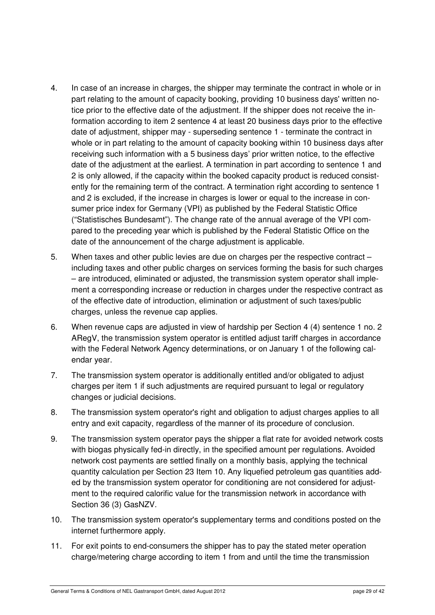- 4. In case of an increase in charges, the shipper may terminate the contract in whole or in part relating to the amount of capacity booking, providing 10 business days' written notice prior to the effective date of the adjustment. If the shipper does not receive the information according to item 2 sentence 4 at least 20 business days prior to the effective date of adjustment, shipper may - superseding sentence 1 - terminate the contract in whole or in part relating to the amount of capacity booking within 10 business days after receiving such information with a 5 business days' prior written notice, to the effective date of the adjustment at the earliest. A termination in part according to sentence 1 and 2 is only allowed, if the capacity within the booked capacity product is reduced consistently for the remaining term of the contract. A termination right according to sentence 1 and 2 is excluded, if the increase in charges is lower or equal to the increase in consumer price index for Germany (VPI) as published by the Federal Statistic Office ("Statistisches Bundesamt"). The change rate of the annual average of the VPI compared to the preceding year which is published by the Federal Statistic Office on the date of the announcement of the charge adjustment is applicable.
- 5. When taxes and other public levies are due on charges per the respective contract including taxes and other public charges on services forming the basis for such charges – are introduced, eliminated or adjusted, the transmission system operator shall implement a corresponding increase or reduction in charges under the respective contract as of the effective date of introduction, elimination or adjustment of such taxes/public charges, unless the revenue cap applies.
- 6. When revenue caps are adjusted in view of hardship per Section 4 (4) sentence 1 no. 2 ARegV, the transmission system operator is entitled adjust tariff charges in accordance with the Federal Network Agency determinations, or on January 1 of the following calendar year.
- 7. The transmission system operator is additionally entitled and/or obligated to adjust charges per item 1 if such adjustments are required pursuant to legal or regulatory changes or judicial decisions.
- 8. The transmission system operator's right and obligation to adjust charges applies to all entry and exit capacity, regardless of the manner of its procedure of conclusion.
- 9. The transmission system operator pays the shipper a flat rate for avoided network costs with biogas physically fed-in directly, in the specified amount per regulations. Avoided network cost payments are settled finally on a monthly basis, applying the technical quantity calculation per Section 23 Item 10. Any liquefied petroleum gas quantities added by the transmission system operator for conditioning are not considered for adjustment to the required calorific value for the transmission network in accordance with Section 36 (3) GasNZV.
- 10. The transmission system operator's supplementary terms and conditions posted on the internet furthermore apply.
- 11. For exit points to end-consumers the shipper has to pay the stated meter operation charge/metering charge according to item 1 from and until the time the transmission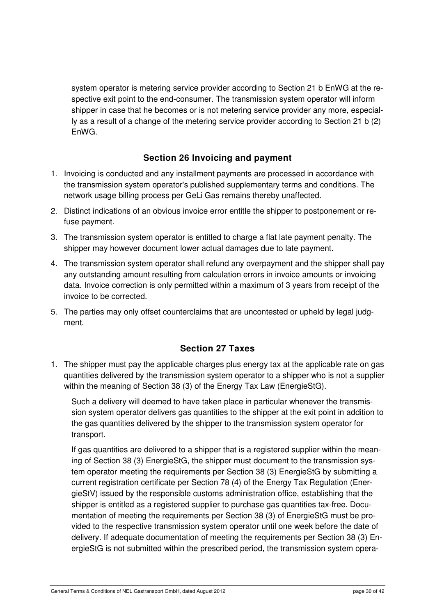system operator is metering service provider according to Section 21 b EnWG at the respective exit point to the end-consumer. The transmission system operator will inform shipper in case that he becomes or is not metering service provider any more, especially as a result of a change of the metering service provider according to Section 21 b (2) EnWG.

#### **Section 26 Invoicing and payment**

- 1. Invoicing is conducted and any installment payments are processed in accordance with the transmission system operator's published supplementary terms and conditions. The network usage billing process per GeLi Gas remains thereby unaffected.
- 2. Distinct indications of an obvious invoice error entitle the shipper to postponement or refuse payment.
- 3. The transmission system operator is entitled to charge a flat late payment penalty. The shipper may however document lower actual damages due to late payment.
- 4. The transmission system operator shall refund any overpayment and the shipper shall pay any outstanding amount resulting from calculation errors in invoice amounts or invoicing data. Invoice correction is only permitted within a maximum of 3 years from receipt of the invoice to be corrected.
- 5. The parties may only offset counterclaims that are uncontested or upheld by legal judgment.

#### **Section 27 Taxes**

1. The shipper must pay the applicable charges plus energy tax at the applicable rate on gas quantities delivered by the transmission system operator to a shipper who is not a supplier within the meaning of Section 38 (3) of the Energy Tax Law (EnergieStG).

Such a delivery will deemed to have taken place in particular whenever the transmission system operator delivers gas quantities to the shipper at the exit point in addition to the gas quantities delivered by the shipper to the transmission system operator for transport.

If gas quantities are delivered to a shipper that is a registered supplier within the meaning of Section 38 (3) EnergieStG, the shipper must document to the transmission system operator meeting the requirements per Section 38 (3) EnergieStG by submitting a current registration certificate per Section 78 (4) of the Energy Tax Regulation (EnergieStV) issued by the responsible customs administration office, establishing that the shipper is entitled as a registered supplier to purchase gas quantities tax-free. Documentation of meeting the requirements per Section 38 (3) of EnergieStG must be provided to the respective transmission system operator until one week before the date of delivery. If adequate documentation of meeting the requirements per Section 38 (3) EnergieStG is not submitted within the prescribed period, the transmission system opera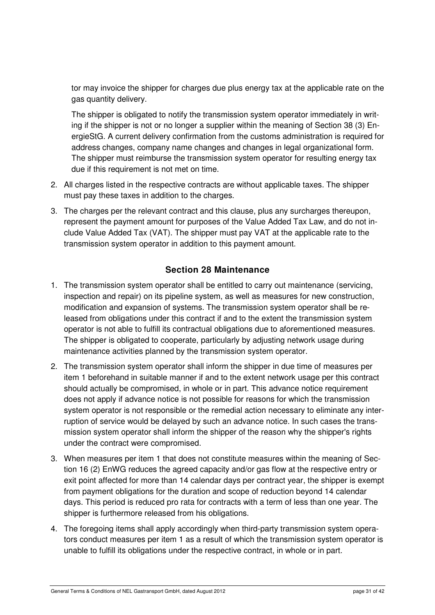tor may invoice the shipper for charges due plus energy tax at the applicable rate on the gas quantity delivery.

The shipper is obligated to notify the transmission system operator immediately in writing if the shipper is not or no longer a supplier within the meaning of Section 38 (3) EnergieStG. A current delivery confirmation from the customs administration is required for address changes, company name changes and changes in legal organizational form. The shipper must reimburse the transmission system operator for resulting energy tax due if this requirement is not met on time.

- 2. All charges listed in the respective contracts are without applicable taxes. The shipper must pay these taxes in addition to the charges.
- 3. The charges per the relevant contract and this clause, plus any surcharges thereupon, represent the payment amount for purposes of the Value Added Tax Law, and do not include Value Added Tax (VAT). The shipper must pay VAT at the applicable rate to the transmission system operator in addition to this payment amount.

## **Section 28 Maintenance**

- 1. The transmission system operator shall be entitled to carry out maintenance (servicing, inspection and repair) on its pipeline system, as well as measures for new construction, modification and expansion of systems. The transmission system operator shall be released from obligations under this contract if and to the extent the transmission system operator is not able to fulfill its contractual obligations due to aforementioned measures. The shipper is obligated to cooperate, particularly by adjusting network usage during maintenance activities planned by the transmission system operator.
- 2. The transmission system operator shall inform the shipper in due time of measures per item 1 beforehand in suitable manner if and to the extent network usage per this contract should actually be compromised, in whole or in part. This advance notice requirement does not apply if advance notice is not possible for reasons for which the transmission system operator is not responsible or the remedial action necessary to eliminate any interruption of service would be delayed by such an advance notice. In such cases the transmission system operator shall inform the shipper of the reason why the shipper's rights under the contract were compromised.
- 3. When measures per item 1 that does not constitute measures within the meaning of Section 16 (2) EnWG reduces the agreed capacity and/or gas flow at the respective entry or exit point affected for more than 14 calendar days per contract year, the shipper is exempt from payment obligations for the duration and scope of reduction beyond 14 calendar days. This period is reduced pro rata for contracts with a term of less than one year. The shipper is furthermore released from his obligations.
- 4. The foregoing items shall apply accordingly when third-party transmission system operators conduct measures per item 1 as a result of which the transmission system operator is unable to fulfill its obligations under the respective contract, in whole or in part.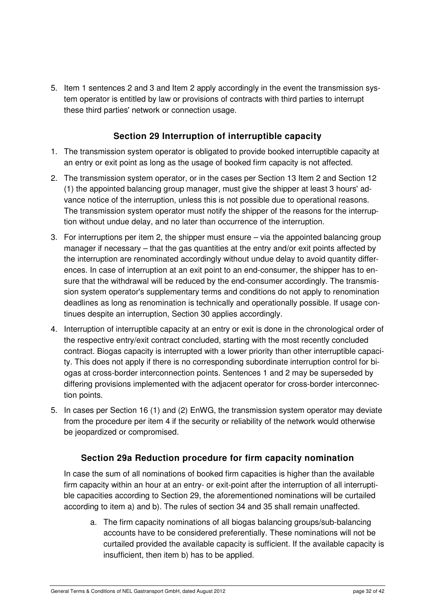5. Item 1 sentences 2 and 3 and Item 2 apply accordingly in the event the transmission system operator is entitled by law or provisions of contracts with third parties to interrupt these third parties' network or connection usage.

#### **Section 29 Interruption of interruptible capacity**

- 1. The transmission system operator is obligated to provide booked interruptible capacity at an entry or exit point as long as the usage of booked firm capacity is not affected.
- 2. The transmission system operator, or in the cases per Section 13 Item 2 and Section 12 (1) the appointed balancing group manager, must give the shipper at least 3 hours' advance notice of the interruption, unless this is not possible due to operational reasons. The transmission system operator must notify the shipper of the reasons for the interruption without undue delay, and no later than occurrence of the interruption.
- 3. For interruptions per item 2, the shipper must ensure via the appointed balancing group manager if necessary – that the gas quantities at the entry and/or exit points affected by the interruption are renominated accordingly without undue delay to avoid quantity differences. In case of interruption at an exit point to an end-consumer, the shipper has to ensure that the withdrawal will be reduced by the end-consumer accordingly. The transmission system operator's supplementary terms and conditions do not apply to renomination deadlines as long as renomination is technically and operationally possible. If usage continues despite an interruption, Section 30 applies accordingly.
- 4. Interruption of interruptible capacity at an entry or exit is done in the chronological order of the respective entry/exit contract concluded, starting with the most recently concluded contract. Biogas capacity is interrupted with a lower priority than other interruptible capacity. This does not apply if there is no corresponding subordinate interruption control for biogas at cross-border interconnection points. Sentences 1 and 2 may be superseded by differing provisions implemented with the adjacent operator for cross-border interconnection points.
- 5. In cases per Section 16 (1) and (2) EnWG, the transmission system operator may deviate from the procedure per item 4 if the security or reliability of the network would otherwise be jeopardized or compromised.

#### **Section 29a Reduction procedure for firm capacity nomination**

In case the sum of all nominations of booked firm capacities is higher than the available firm capacity within an hour at an entry- or exit-point after the interruption of all interruptible capacities according to Section 29, the aforementioned nominations will be curtailed according to item a) and b). The rules of section 34 and 35 shall remain unaffected.

a. The firm capacity nominations of all biogas balancing groups/sub-balancing accounts have to be considered preferentially. These nominations will not be curtailed provided the available capacity is sufficient. If the available capacity is insufficient, then item b) has to be applied.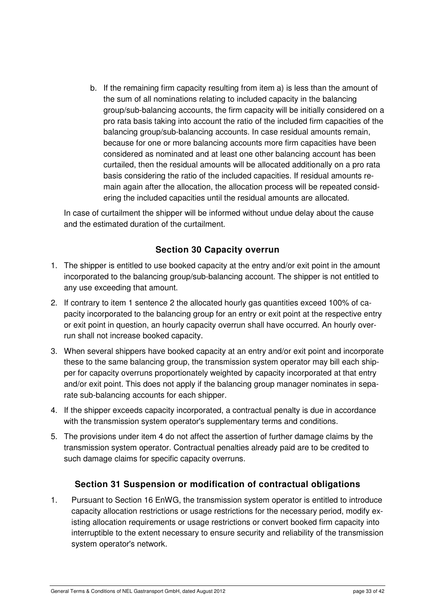b. If the remaining firm capacity resulting from item a) is less than the amount of the sum of all nominations relating to included capacity in the balancing group/sub-balancing accounts, the firm capacity will be initially considered on a pro rata basis taking into account the ratio of the included firm capacities of the balancing group/sub-balancing accounts. In case residual amounts remain, because for one or more balancing accounts more firm capacities have been considered as nominated and at least one other balancing account has been curtailed, then the residual amounts will be allocated additionally on a pro rata basis considering the ratio of the included capacities. If residual amounts remain again after the allocation, the allocation process will be repeated considering the included capacities until the residual amounts are allocated.

In case of curtailment the shipper will be informed without undue delay about the cause and the estimated duration of the curtailment.

#### **Section 30 Capacity overrun**

- 1. The shipper is entitled to use booked capacity at the entry and/or exit point in the amount incorporated to the balancing group/sub-balancing account. The shipper is not entitled to any use exceeding that amount.
- 2. If contrary to item 1 sentence 2 the allocated hourly gas quantities exceed 100% of capacity incorporated to the balancing group for an entry or exit point at the respective entry or exit point in question, an hourly capacity overrun shall have occurred. An hourly overrun shall not increase booked capacity.
- 3. When several shippers have booked capacity at an entry and/or exit point and incorporate these to the same balancing group, the transmission system operator may bill each shipper for capacity overruns proportionately weighted by capacity incorporated at that entry and/or exit point. This does not apply if the balancing group manager nominates in separate sub-balancing accounts for each shipper.
- 4. If the shipper exceeds capacity incorporated, a contractual penalty is due in accordance with the transmission system operator's supplementary terms and conditions.
- 5. The provisions under item 4 do not affect the assertion of further damage claims by the transmission system operator. Contractual penalties already paid are to be credited to such damage claims for specific capacity overruns.

#### **Section 31 Suspension or modification of contractual obligations**

1. Pursuant to Section 16 EnWG, the transmission system operator is entitled to introduce capacity allocation restrictions or usage restrictions for the necessary period, modify existing allocation requirements or usage restrictions or convert booked firm capacity into interruptible to the extent necessary to ensure security and reliability of the transmission system operator's network.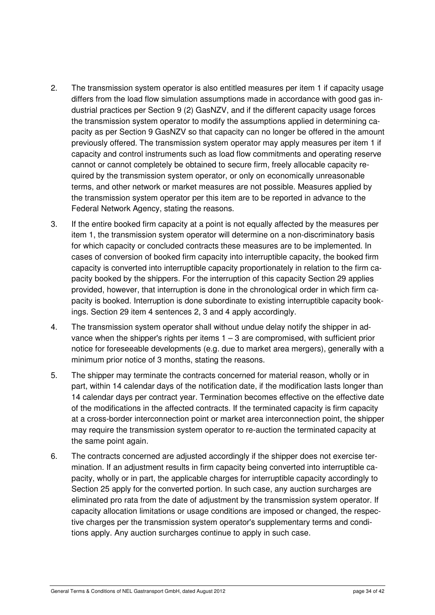- 2. The transmission system operator is also entitled measures per item 1 if capacity usage differs from the load flow simulation assumptions made in accordance with good gas industrial practices per Section 9 (2) GasNZV, and if the different capacity usage forces the transmission system operator to modify the assumptions applied in determining capacity as per Section 9 GasNZV so that capacity can no longer be offered in the amount previously offered. The transmission system operator may apply measures per item 1 if capacity and control instruments such as load flow commitments and operating reserve cannot or cannot completely be obtained to secure firm, freely allocable capacity required by the transmission system operator, or only on economically unreasonable terms, and other network or market measures are not possible. Measures applied by the transmission system operator per this item are to be reported in advance to the Federal Network Agency, stating the reasons.
- 3. If the entire booked firm capacity at a point is not equally affected by the measures per item 1, the transmission system operator will determine on a non-discriminatory basis for which capacity or concluded contracts these measures are to be implemented. In cases of conversion of booked firm capacity into interruptible capacity, the booked firm capacity is converted into interruptible capacity proportionately in relation to the firm capacity booked by the shippers. For the interruption of this capacity Section 29 applies provided, however, that interruption is done in the chronological order in which firm capacity is booked. Interruption is done subordinate to existing interruptible capacity bookings. Section 29 item 4 sentences 2, 3 and 4 apply accordingly.
- 4. The transmission system operator shall without undue delay notify the shipper in advance when the shipper's rights per items  $1 - 3$  are compromised, with sufficient prior notice for foreseeable developments (e.g. due to market area mergers), generally with a minimum prior notice of 3 months, stating the reasons.
- 5. The shipper may terminate the contracts concerned for material reason, wholly or in part, within 14 calendar days of the notification date, if the modification lasts longer than 14 calendar days per contract year. Termination becomes effective on the effective date of the modifications in the affected contracts. If the terminated capacity is firm capacity at a cross-border interconnection point or market area interconnection point, the shipper may require the transmission system operator to re-auction the terminated capacity at the same point again.
- 6. The contracts concerned are adjusted accordingly if the shipper does not exercise termination. If an adjustment results in firm capacity being converted into interruptible capacity, wholly or in part, the applicable charges for interruptible capacity accordingly to Section 25 apply for the converted portion. In such case, any auction surcharges are eliminated pro rata from the date of adjustment by the transmission system operator. If capacity allocation limitations or usage conditions are imposed or changed, the respective charges per the transmission system operator's supplementary terms and conditions apply. Any auction surcharges continue to apply in such case.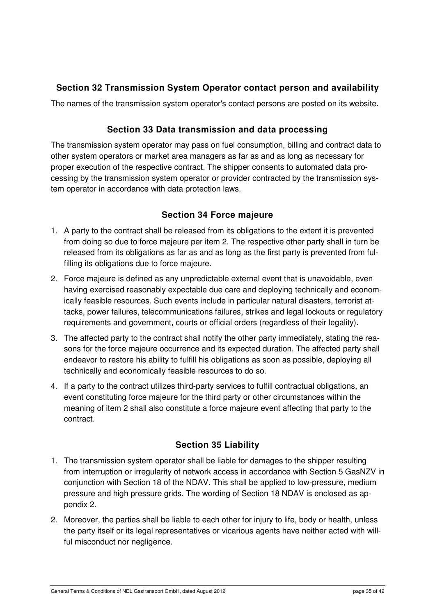## **Section 32 Transmission System Operator contact person and availability**

The names of the transmission system operator's contact persons are posted on its website.

## **Section 33 Data transmission and data processing**

The transmission system operator may pass on fuel consumption, billing and contract data to other system operators or market area managers as far as and as long as necessary for proper execution of the respective contract. The shipper consents to automated data processing by the transmission system operator or provider contracted by the transmission system operator in accordance with data protection laws.

#### **Section 34 Force majeure**

- 1. A party to the contract shall be released from its obligations to the extent it is prevented from doing so due to force majeure per item 2. The respective other party shall in turn be released from its obligations as far as and as long as the first party is prevented from fulfilling its obligations due to force majeure.
- 2. Force majeure is defined as any unpredictable external event that is unavoidable, even having exercised reasonably expectable due care and deploying technically and economically feasible resources. Such events include in particular natural disasters, terrorist attacks, power failures, telecommunications failures, strikes and legal lockouts or regulatory requirements and government, courts or official orders (regardless of their legality).
- 3. The affected party to the contract shall notify the other party immediately, stating the reasons for the force majeure occurrence and its expected duration. The affected party shall endeavor to restore his ability to fulfill his obligations as soon as possible, deploying all technically and economically feasible resources to do so.
- 4. If a party to the contract utilizes third-party services to fulfill contractual obligations, an event constituting force majeure for the third party or other circumstances within the meaning of item 2 shall also constitute a force majeure event affecting that party to the contract.

#### **Section 35 Liability**

- 1. The transmission system operator shall be liable for damages to the shipper resulting from interruption or irregularity of network access in accordance with Section 5 GasNZV in conjunction with Section 18 of the NDAV. This shall be applied to low-pressure, medium pressure and high pressure grids. The wording of Section 18 NDAV is enclosed as appendix 2.
- 2. Moreover, the parties shall be liable to each other for injury to life, body or health, unless the party itself or its legal representatives or vicarious agents have neither acted with willful misconduct nor negligence.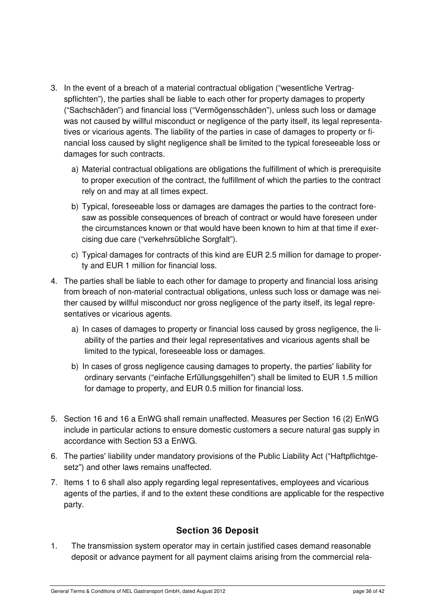- 3. In the event of a breach of a material contractual obligation ("wesentliche Vertragspflichten"), the parties shall be liable to each other for property damages to property ("Sachschäden") and financial loss ("Vermögensschäden"), unless such loss or damage was not caused by willful misconduct or negligence of the party itself, its legal representatives or vicarious agents. The liability of the parties in case of damages to property or financial loss caused by slight negligence shall be limited to the typical foreseeable loss or damages for such contracts.
	- a) Material contractual obligations are obligations the fulfillment of which is prerequisite to proper execution of the contract, the fulfillment of which the parties to the contract rely on and may at all times expect.
	- b) Typical, foreseeable loss or damages are damages the parties to the contract foresaw as possible consequences of breach of contract or would have foreseen under the circumstances known or that would have been known to him at that time if exercising due care ("verkehrsübliche Sorgfalt").
	- c) Typical damages for contracts of this kind are EUR 2.5 million for damage to property and EUR 1 million for financial loss.
- 4. The parties shall be liable to each other for damage to property and financial loss arising from breach of non-material contractual obligations, unless such loss or damage was neither caused by willful misconduct nor gross negligence of the party itself, its legal representatives or vicarious agents.
	- a) In cases of damages to property or financial loss caused by gross negligence, the liability of the parties and their legal representatives and vicarious agents shall be limited to the typical, foreseeable loss or damages.
	- b) In cases of gross negligence causing damages to property, the parties' liability for ordinary servants ("einfache Erfüllungsgehilfen") shall be limited to EUR 1.5 million for damage to property, and EUR 0.5 million for financial loss.
- 5. Section 16 and 16 a EnWG shall remain unaffected. Measures per Section 16 (2) EnWG include in particular actions to ensure domestic customers a secure natural gas supply in accordance with Section 53 a EnWG.
- 6. The parties' liability under mandatory provisions of the Public Liability Act ("Haftpflichtgesetz") and other laws remains unaffected.
- 7. Items 1 to 6 shall also apply regarding legal representatives, employees and vicarious agents of the parties, if and to the extent these conditions are applicable for the respective party.

#### **Section 36 Deposit**

1. The transmission system operator may in certain justified cases demand reasonable deposit or advance payment for all payment claims arising from the commercial rela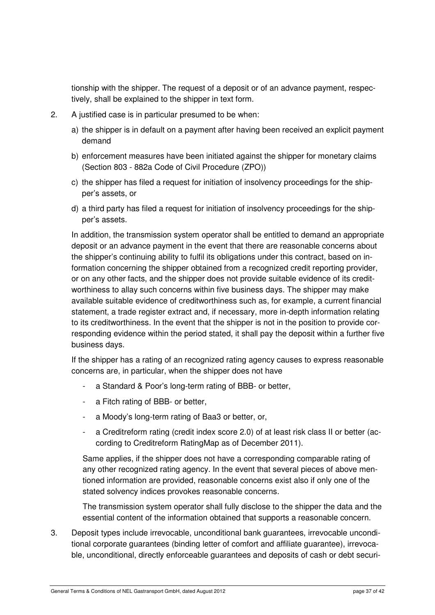tionship with the shipper. The request of a deposit or of an advance payment, respectively, shall be explained to the shipper in text form.

- 2. A justified case is in particular presumed to be when:
	- a) the shipper is in default on a payment after having been received an explicit payment demand
	- b) enforcement measures have been initiated against the shipper for monetary claims (Section 803 - 882a Code of Civil Procedure (ZPO))
	- c) the shipper has filed a request for initiation of insolvency proceedings for the shipper's assets, or
	- d) a third party has filed a request for initiation of insolvency proceedings for the shipper's assets.

In addition, the transmission system operator shall be entitled to demand an appropriate deposit or an advance payment in the event that there are reasonable concerns about the shipper's continuing ability to fulfil its obligations under this contract, based on information concerning the shipper obtained from a recognized credit reporting provider, or on any other facts, and the shipper does not provide suitable evidence of its creditworthiness to allay such concerns within five business days. The shipper may make available suitable evidence of creditworthiness such as, for example, a current financial statement, a trade register extract and, if necessary, more in-depth information relating to its creditworthiness. In the event that the shipper is not in the position to provide corresponding evidence within the period stated, it shall pay the deposit within a further five business days.

If the shipper has a rating of an recognized rating agency causes to express reasonable concerns are, in particular, when the shipper does not have

- a Standard & Poor's long-term rating of BBB- or better,
- a Fitch rating of BBB- or better.
- a Moody's long-term rating of Baa3 or better, or,
- a Creditreform rating (credit index score 2.0) of at least risk class II or better (according to Creditreform RatingMap as of December 2011).

Same applies, if the shipper does not have a corresponding comparable rating of any other recognized rating agency. In the event that several pieces of above mentioned information are provided, reasonable concerns exist also if only one of the stated solvency indices provokes reasonable concerns.

The transmission system operator shall fully disclose to the shipper the data and the essential content of the information obtained that supports a reasonable concern.

3. Deposit types include irrevocable, unconditional bank guarantees, irrevocable unconditional corporate guarantees (binding letter of comfort and affiliate guarantee), irrevocable, unconditional, directly enforceable guarantees and deposits of cash or debt securi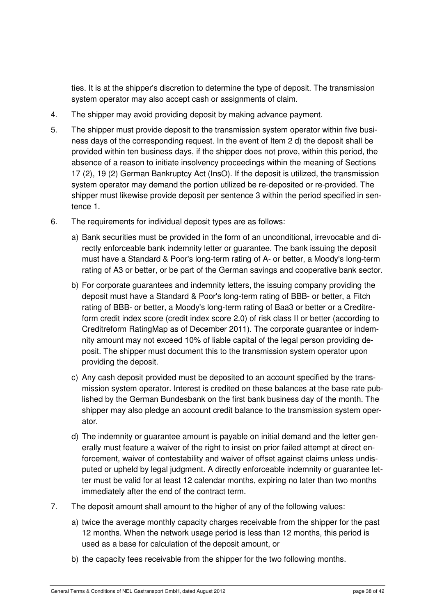ties. It is at the shipper's discretion to determine the type of deposit. The transmission system operator may also accept cash or assignments of claim.

- 4. The shipper may avoid providing deposit by making advance payment.
- 5. The shipper must provide deposit to the transmission system operator within five business days of the corresponding request. In the event of Item 2 d) the deposit shall be provided within ten business days, if the shipper does not prove, within this period, the absence of a reason to initiate insolvency proceedings within the meaning of Sections 17 (2), 19 (2) German Bankruptcy Act (InsO). If the deposit is utilized, the transmission system operator may demand the portion utilized be re-deposited or re-provided. The shipper must likewise provide deposit per sentence 3 within the period specified in sentence 1.
- 6. The requirements for individual deposit types are as follows:
	- a) Bank securities must be provided in the form of an unconditional, irrevocable and directly enforceable bank indemnity letter or guarantee. The bank issuing the deposit must have a Standard & Poor's long-term rating of A- or better, a Moody's long-term rating of A3 or better, or be part of the German savings and cooperative bank sector.
	- b) For corporate guarantees and indemnity letters, the issuing company providing the deposit must have a Standard & Poor's long-term rating of BBB- or better, a Fitch rating of BBB- or better, a Moody's long-term rating of Baa3 or better or a Creditreform credit index score (credit index score 2.0) of risk class II or better (according to Creditreform RatingMap as of December 2011). The corporate guarantee or indemnity amount may not exceed 10% of liable capital of the legal person providing deposit. The shipper must document this to the transmission system operator upon providing the deposit.
	- c) Any cash deposit provided must be deposited to an account specified by the transmission system operator. Interest is credited on these balances at the base rate published by the German Bundesbank on the first bank business day of the month. The shipper may also pledge an account credit balance to the transmission system operator.
	- d) The indemnity or guarantee amount is payable on initial demand and the letter generally must feature a waiver of the right to insist on prior failed attempt at direct enforcement, waiver of contestability and waiver of offset against claims unless undisputed or upheld by legal judgment. A directly enforceable indemnity or guarantee letter must be valid for at least 12 calendar months, expiring no later than two months immediately after the end of the contract term.
- 7. The deposit amount shall amount to the higher of any of the following values:
	- a) twice the average monthly capacity charges receivable from the shipper for the past 12 months. When the network usage period is less than 12 months, this period is used as a base for calculation of the deposit amount, or
	- b) the capacity fees receivable from the shipper for the two following months.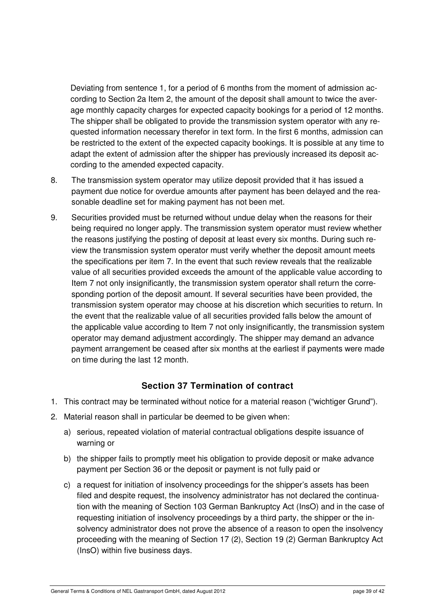Deviating from sentence 1, for a period of 6 months from the moment of admission according to Section 2a Item 2, the amount of the deposit shall amount to twice the average monthly capacity charges for expected capacity bookings for a period of 12 months. The shipper shall be obligated to provide the transmission system operator with any requested information necessary therefor in text form. In the first 6 months, admission can be restricted to the extent of the expected capacity bookings. It is possible at any time to adapt the extent of admission after the shipper has previously increased its deposit according to the amended expected capacity.

- 8. The transmission system operator may utilize deposit provided that it has issued a payment due notice for overdue amounts after payment has been delayed and the reasonable deadline set for making payment has not been met.
- 9. Securities provided must be returned without undue delay when the reasons for their being required no longer apply. The transmission system operator must review whether the reasons justifying the posting of deposit at least every six months. During such review the transmission system operator must verify whether the deposit amount meets the specifications per item 7. In the event that such review reveals that the realizable value of all securities provided exceeds the amount of the applicable value according to Item 7 not only insignificantly, the transmission system operator shall return the corresponding portion of the deposit amount. If several securities have been provided, the transmission system operator may choose at his discretion which securities to return. In the event that the realizable value of all securities provided falls below the amount of the applicable value according to Item 7 not only insignificantly, the transmission system operator may demand adjustment accordingly. The shipper may demand an advance payment arrangement be ceased after six months at the earliest if payments were made on time during the last 12 month.

#### **Section 37 Termination of contract**

- 1. This contract may be terminated without notice for a material reason ("wichtiger Grund").
- 2. Material reason shall in particular be deemed to be given when:
	- a) serious, repeated violation of material contractual obligations despite issuance of warning or
	- b) the shipper fails to promptly meet his obligation to provide deposit or make advance payment per Section 36 or the deposit or payment is not fully paid or
	- c) a request for initiation of insolvency proceedings for the shipper's assets has been filed and despite request, the insolvency administrator has not declared the continuation with the meaning of Section 103 German Bankruptcy Act (InsO) and in the case of requesting initiation of insolvency proceedings by a third party, the shipper or the insolvency administrator does not prove the absence of a reason to open the insolvency proceeding with the meaning of Section 17 (2), Section 19 (2) German Bankruptcy Act (InsO) within five business days.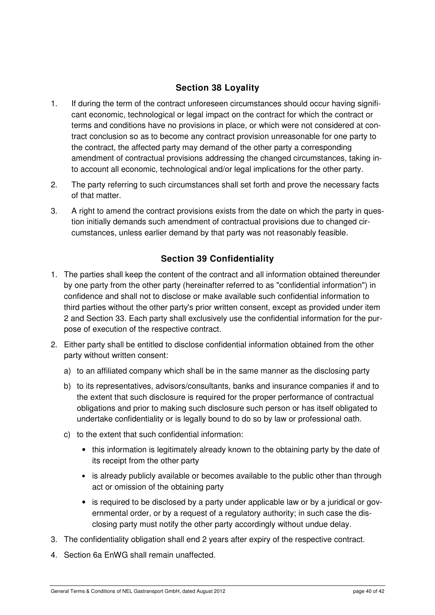## **Section 38 Loyality**

- 1. If during the term of the contract unforeseen circumstances should occur having significant economic, technological or legal impact on the contract for which the contract or terms and conditions have no provisions in place, or which were not considered at contract conclusion so as to become any contract provision unreasonable for one party to the contract, the affected party may demand of the other party a corresponding amendment of contractual provisions addressing the changed circumstances, taking into account all economic, technological and/or legal implications for the other party.
- 2. The party referring to such circumstances shall set forth and prove the necessary facts of that matter.
- 3. A right to amend the contract provisions exists from the date on which the party in question initially demands such amendment of contractual provisions due to changed circumstances, unless earlier demand by that party was not reasonably feasible.

## **Section 39 Confidentiality**

- 1. The parties shall keep the content of the contract and all information obtained thereunder by one party from the other party (hereinafter referred to as "confidential information") in confidence and shall not to disclose or make available such confidential information to third parties without the other party's prior written consent, except as provided under item 2 and Section 33. Each party shall exclusively use the confidential information for the purpose of execution of the respective contract.
- 2. Either party shall be entitled to disclose confidential information obtained from the other party without written consent:
	- a) to an affiliated company which shall be in the same manner as the disclosing party
	- b) to its representatives, advisors/consultants, banks and insurance companies if and to the extent that such disclosure is required for the proper performance of contractual obligations and prior to making such disclosure such person or has itself obligated to undertake confidentiality or is legally bound to do so by law or professional oath.
	- c) to the extent that such confidential information:
		- this information is legitimately already known to the obtaining party by the date of its receipt from the other party
		- is already publicly available or becomes available to the public other than through act or omission of the obtaining party
		- is required to be disclosed by a party under applicable law or by a juridical or governmental order, or by a request of a regulatory authority; in such case the disclosing party must notify the other party accordingly without undue delay.
- 3. The confidentiality obligation shall end 2 years after expiry of the respective contract.
- 4. Section 6a EnWG shall remain unaffected.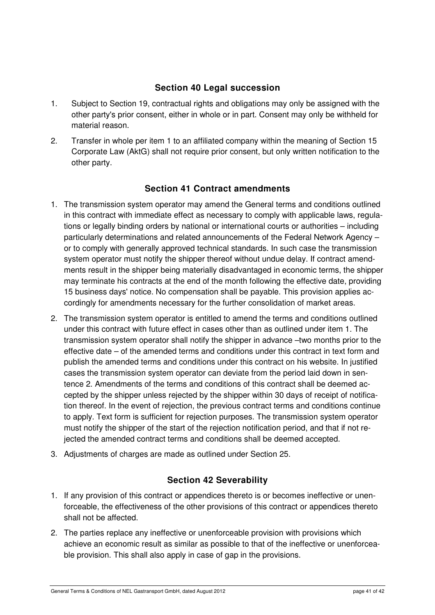#### **Section 40 Legal succession**

- 1. Subject to Section 19, contractual rights and obligations may only be assigned with the other party's prior consent, either in whole or in part. Consent may only be withheld for material reason.
- 2. Transfer in whole per item 1 to an affiliated company within the meaning of Section 15 Corporate Law (AktG) shall not require prior consent, but only written notification to the other party.

#### **Section 41 Contract amendments**

- 1. The transmission system operator may amend the General terms and conditions outlined in this contract with immediate effect as necessary to comply with applicable laws, regulations or legally binding orders by national or international courts or authorities – including particularly determinations and related announcements of the Federal Network Agency – or to comply with generally approved technical standards. In such case the transmission system operator must notify the shipper thereof without undue delay. If contract amendments result in the shipper being materially disadvantaged in economic terms, the shipper may terminate his contracts at the end of the month following the effective date, providing 15 business days' notice. No compensation shall be payable. This provision applies accordingly for amendments necessary for the further consolidation of market areas.
- 2. The transmission system operator is entitled to amend the terms and conditions outlined under this contract with future effect in cases other than as outlined under item 1. The transmission system operator shall notify the shipper in advance –two months prior to the effective date – of the amended terms and conditions under this contract in text form and publish the amended terms and conditions under this contract on his website. In justified cases the transmission system operator can deviate from the period laid down in sentence 2. Amendments of the terms and conditions of this contract shall be deemed accepted by the shipper unless rejected by the shipper within 30 days of receipt of notification thereof. In the event of rejection, the previous contract terms and conditions continue to apply. Text form is sufficient for rejection purposes. The transmission system operator must notify the shipper of the start of the rejection notification period, and that if not rejected the amended contract terms and conditions shall be deemed accepted.
- 3. Adjustments of charges are made as outlined under Section 25.

#### **Section 42 Severability**

- 1. If any provision of this contract or appendices thereto is or becomes ineffective or unenforceable, the effectiveness of the other provisions of this contract or appendices thereto shall not be affected.
- 2. The parties replace any ineffective or unenforceable provision with provisions which achieve an economic result as similar as possible to that of the ineffective or unenforceable provision. This shall also apply in case of gap in the provisions.